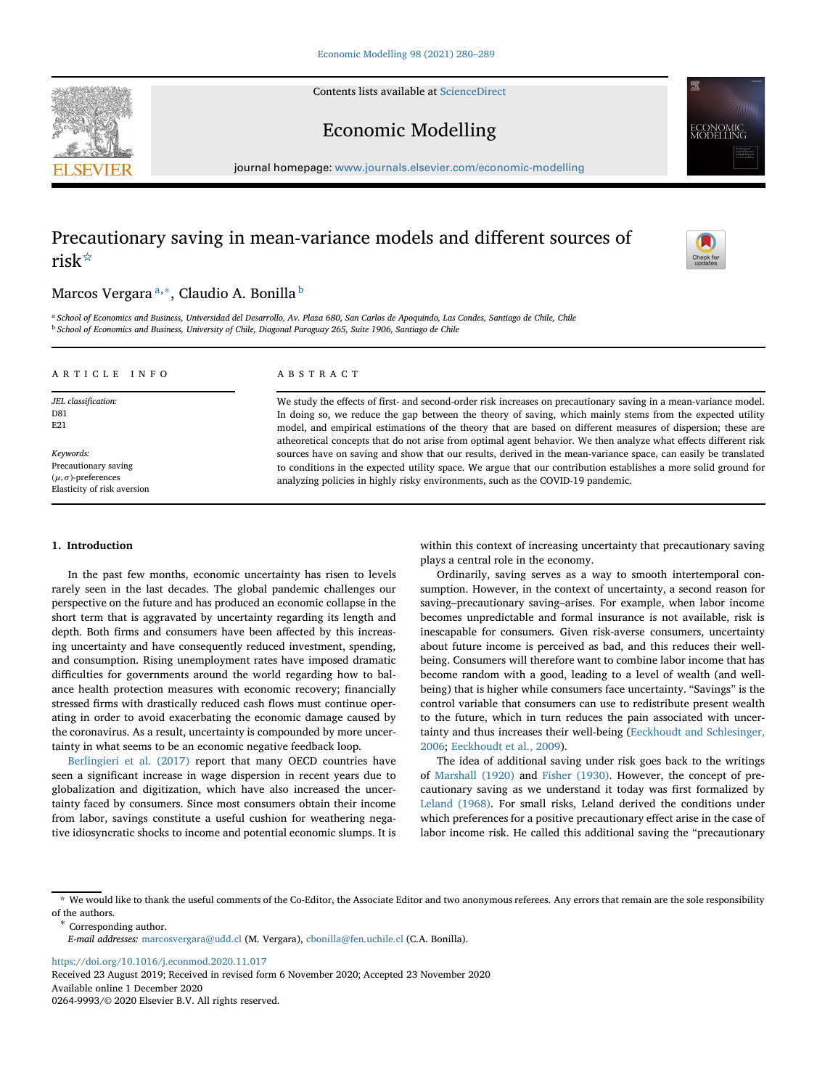Contents lists available at [ScienceDirect](http://www.sciencedirect.com/science/journal/)





Economic Modelling

journal homepage: [www.journals.elsevier.com/economic-modelling](https://www.journals.elsevier.com/economic-modelling)

# Precautionary saving in mean-variance models and different sources of risk[☆](#page-0-0)



## Marcos Vergara<sup>[a,](#page-0-1)\*</sup>, Claudio A. Bonilla<sup>[b](#page-0-3)</sup>

<span id="page-0-3"></span><span id="page-0-1"></span><sup>a</sup> *School of Economics and Business, Universidad del Desarrollo, Av. Plaza 680, San Carlos de Apoquindo, Las Condes, Santiago de Chile, Chile* <sup>b</sup> *School of Economics and Business, University of Chile, Diagonal Paraguay 265, Suite 1906, Santiago de Chile*

| ARTICLE INFO                                                                                     | A B S T R A C T                                                                                                                                                                                                                                                                                                                                                                                                                                                   |
|--------------------------------------------------------------------------------------------------|-------------------------------------------------------------------------------------------------------------------------------------------------------------------------------------------------------------------------------------------------------------------------------------------------------------------------------------------------------------------------------------------------------------------------------------------------------------------|
| JEL classification:<br>D81<br>E21                                                                | We study the effects of first- and second-order risk increases on precautionary saving in a mean-variance model.<br>In doing so, we reduce the gap between the theory of saving, which mainly stems from the expected utility<br>model, and empirical estimations of the theory that are based on different measures of dispersion; these are<br>atheoretical concepts that do not arise from optimal agent behavior. We then analyze what effects different risk |
| Keywords:<br>Precautionary saving<br>$(\mu, \sigma)$ -preferences<br>Elasticity of risk aversion | sources have on saving and show that our results, derived in the mean-variance space, can easily be translated<br>to conditions in the expected utility space. We argue that our contribution establishes a more solid ground for<br>analyzing policies in highly risky environments, such as the COVID-19 pandemic.                                                                                                                                              |

#### **1. Introduction**

In the past few months, economic uncertainty has risen to levels rarely seen in the last decades. The global pandemic challenges our perspective on the future and has produced an economic collapse in the short term that is aggravated by uncertainty regarding its length and depth. Both firms and consumers have been affected by this increasing uncertainty and have consequently reduced investment, spending, and consumption. Rising unemployment rates have imposed dramatic difficulties for governments around the world regarding how to balance health protection measures with economic recovery; financially stressed firms with drastically reduced cash flows must continue operating in order to avoid exacerbating the economic damage caused by the coronavirus. As a result, uncertainty is compounded by more uncertainty in what seems to be an economic negative feedback loop.

[Berlingieri et al. \(2017\)](#page-8-0) report that many OECD countries have seen a significant increase in wage dispersion in recent years due to globalization and digitization, which have also increased the uncertainty faced by consumers. Since most consumers obtain their income from labor, savings constitute a useful cushion for weathering negative idiosyncratic shocks to income and potential economic slumps. It is within this context of increasing uncertainty that precautionary saving plays a central role in the economy.

Ordinarily, saving serves as a way to smooth intertemporal consumption. However, in the context of uncertainty, a second reason for saving–precautionary saving–arises. For example, when labor income becomes unpredictable and formal insurance is not available, risk is inescapable for consumers. Given risk-averse consumers, uncertainty about future income is perceived as bad, and this reduces their wellbeing. Consumers will therefore want to combine labor income that has become random with a good, leading to a level of wealth (and wellbeing) that is higher while consumers face uncertainty. "Savings" is the control variable that consumers can use to redistribute present wealth to the future, which in turn reduces the pain associated with uncer[tainty and thus increases their well-being \(Eeckhoudt and Schlesinger,](#page-9-0) 2006; [Eeckhoudt et al., 2009\)](#page-9-1).

The idea of additional saving under risk goes back to the writings of [Marshall \(1920\)](#page-9-2) and [Fisher \(1930\).](#page-9-3) However, the concept of precautionary saving as we understand it today was first formalized by [Leland \(1968\).](#page-9-4) For small risks, Leland derived the conditions under which preferences for a positive precautionary effect arise in the case of labor income risk. He called this additional saving the "precautionary

<https://doi.org/10.1016/j.econmod.2020.11.017>

Received 23 August 2019; Received in revised form 6 November 2020; Accepted 23 November 2020 Available online 1 December 2020

0264-9993/© 2020 Elsevier B.V. All rights reserved.

<span id="page-0-0"></span><sup>☆</sup> We would like to thank the useful comments of the Co-Editor, the Associate Editor and two anonymous referees. Any errors that remain are the sole responsibility % of the authors. <br>  $\hspace{0.1mm}^*$  Corresponding author.

<span id="page-0-2"></span>*E-mail addresses:* [marcosvergara@udd.cl](mailto:marcosvergara@udd.cl) (M. Vergara), [cbonilla@fen.uchile.cl](mailto:cbonilla@fen.uchile.cl) (C.A. Bonilla).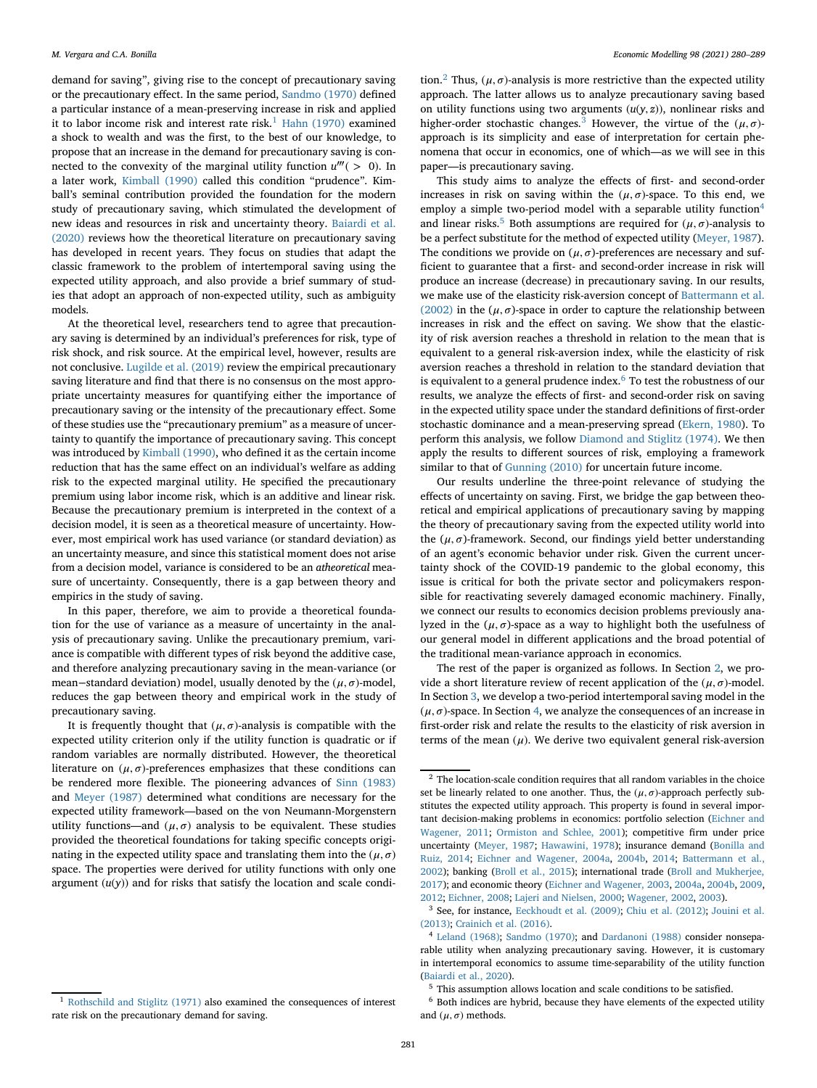demand for saving", giving rise to the concept of precautionary saving or the precautionary effect. In the same period, [Sandmo \(1970\)](#page-9-5) defined a particular instance of a mean-preserving increase in risk and applied it to labor income risk and interest rate risk.<sup>[1](#page-1-0)</sup> [Hahn \(1970\)](#page-9-6) examined a shock to wealth and was the first, to the best of our knowledge, to propose that an increase in the demand for precautionary saving is connected to the convexity of the marginal utility function  $u'''(> 0)$ . In a later work, [Kimball \(1990\)](#page-9-7) called this condition "prudence". Kimball's seminal contribution provided the foundation for the modern study of precautionary saving, which stimulated the development of new ideas and resources in risk and uncertainty theory. Baiardi et al. (2020) [reviews how the theoretical literature on precautionary saving](#page-8-1) has developed in recent years. They focus on studies that adapt the classic framework to the problem of intertemporal saving using the expected utility approach, and also provide a brief summary of studies that adopt an approach of non-expected utility, such as ambiguity models.

At the theoretical level, researchers tend to agree that precautionary saving is determined by an individual's preferences for risk, type of risk shock, and risk source. At the empirical level, however, results are not conclusive. [Lugilde et al. \(2019\)](#page-9-8) review the empirical precautionary saving literature and find that there is no consensus on the most appropriate uncertainty measures for quantifying either the importance of precautionary saving or the intensity of the precautionary effect. Some of these studies use the "precautionary premium" as a measure of uncertainty to quantify the importance of precautionary saving. This concept was introduced by [Kimball \(1990\),](#page-9-7) who defined it as the certain income reduction that has the same effect on an individual's welfare as adding risk to the expected marginal utility. He specified the precautionary premium using labor income risk, which is an additive and linear risk. Because the precautionary premium is interpreted in the context of a decision model, it is seen as a theoretical measure of uncertainty. However, most empirical work has used variance (or standard deviation) as an uncertainty measure, and since this statistical moment does not arise from a decision model, variance is considered to be an *atheoretical* measure of uncertainty. Consequently, there is a gap between theory and empirics in the study of saving.

In this paper, therefore, we aim to provide a theoretical foundation for the use of variance as a measure of uncertainty in the analysis of precautionary saving. Unlike the precautionary premium, variance is compatible with different types of risk beyond the additive case, and therefore analyzing precautionary saving in the mean-variance (or mean–standard deviation) model, usually denoted by the  $(\mu, \sigma)$ -model, reduces the gap between theory and empirical work in the study of precautionary saving.

<span id="page-1-0"></span>It is frequently thought that  $(\mu, \sigma)$ -analysis is compatible with the expected utility criterion only if the utility function is quadratic or if random variables are normally distributed. However, the theoretical literature on  $(\mu, \sigma)$ -preferences emphasizes that these conditions can be rendered more flexible. The pioneering advances of [Sinn \(1983\)](#page-9-9) and [Meyer \(1987\)](#page-9-10) determined what conditions are necessary for the expected utility framework—based on the von Neumann-Morgenstern utility functions—and  $(\mu, \sigma)$  analysis to be equivalent. These studies provided the theoretical foundations for taking specific concepts originating in the expected utility space and translating them into the  $(\mu, \sigma)$ space. The properties were derived for utility functions with only one argument  $(u(y))$  and for risks that satisfy the location and scale condition.<sup>[2](#page-1-1)</sup> Thus,  $(\mu, \sigma)$ -analysis is more restrictive than the expected utility approach. The latter allows us to analyze precautionary saving based on utility functions using two arguments  $(u(y, z))$ , nonlinear risks and higher-order stochastic changes.<sup>[3](#page-1-2)</sup> However, the virtue of the  $(\mu, \sigma)$ approach is its simplicity and ease of interpretation for certain phenomena that occur in economics, one of which—as we will see in this paper—is precautionary saving.

This study aims to analyze the effects of first- and second-order increases in risk on saving within the  $(\mu, \sigma)$ -space. To this end, we employ a simple two-period model with a separable utility function<sup>[4](#page-1-3)</sup> and linear risks.<sup>[5](#page-1-4)</sup> Both assumptions are required for  $(\mu, \sigma)$ -analysis to be a perfect substitute for the method of expected utility [\(Meyer, 1987\)](#page-9-10). The conditions we provide on  $(\mu, \sigma)$ -preferences are necessary and sufficient to guarantee that a first- and second-order increase in risk will produce an increase (decrease) in precautionary saving. In our results, [we make use of the elasticity risk-aversion concept of](#page-8-2) Battermann et al. (2002) in the  $(\mu, \sigma)$ -space in order to capture the relationship between increases in risk and the effect on saving. We show that the elasticity of risk aversion reaches a threshold in relation to the mean that is equivalent to a general risk-aversion index, while the elasticity of risk aversion reaches a threshold in relation to the standard deviation that is equivalent to a general prudence index.<sup>[6](#page-1-5)</sup> To test the robustness of our results, we analyze the effects of first- and second-order risk on saving in the expected utility space under the standard definitions of first-order stochastic dominance and a mean-preserving spread [\(Ekern, 1980\)](#page-9-12). To perform this analysis, we follow [Diamond and Stiglitz \(1974\).](#page-9-13) We then apply the results to different sources of risk, employing a framework similar to that of [Gunning \(2010\)](#page-9-14) for uncertain future income.

Our results underline the three-point relevance of studying the effects of uncertainty on saving. First, we bridge the gap between theoretical and empirical applications of precautionary saving by mapping the theory of precautionary saving from the expected utility world into the  $(\mu, \sigma)$ -framework. Second, our findings yield better understanding of an agent's economic behavior under risk. Given the current uncertainty shock of the COVID-19 pandemic to the global economy, this issue is critical for both the private sector and policymakers responsible for reactivating severely damaged economic machinery. Finally, we connect our results to economics decision problems previously analyzed in the  $(\mu, \sigma)$ -space as a way to highlight both the usefulness of our general model in different applications and the broad potential of the traditional mean-variance approach in economics.

The rest of the paper is organized as follows. In Section [2,](#page-2-0) we provide a short literature review of recent application of the  $(\mu, \sigma)$ -model. In Section [3,](#page-2-1) we develop a two-period intertemporal saving model in the  $(\mu, \sigma)$ -space. In Section [4,](#page-3-0) we analyze the consequences of an increase in first-order risk and relate the results to the elasticity of risk aversion in terms of the mean  $(\mu)$ . We derive two equivalent general risk-aversion

<span id="page-1-1"></span><sup>&</sup>lt;sup>2</sup> The location-scale condition requires that all random variables in the choice set be linearly related to one another. Thus, the  $(\mu, \sigma)$ -approach perfectly substitutes the expected utility approach. This property is found in several impor[tant decision-making problems in economics: portfolio selection \(Eichner and](#page-9-15) Wagener, 2011; [Ormiston and Schlee, 2001\)](#page-9-16); competitive firm under price uncertainty [\(Meyer, 1987;](#page-9-10) [Hawawini, 1978](#page-9-17)[\); insurance demand \(Bonilla and](#page-9-18) Ruiz, 2014; [Eichner and Wagener, 2004a,](#page-9-19) [2004b,](#page-9-20) [2014;](#page-9-21) Battermann et al., [2002\); banking \(Broll et al., 2015\); international trade \(Broll and Mukherjee,](#page-8-2) 2017); and economic theory [\(Eichner and Wagener, 2003,](#page-9-24) [2004a,](#page-9-19) [2004b,](#page-9-20) [2009,](#page-9-25) [2012;](#page-9-26) [Eichner, 2008;](#page-9-27) [Lajeri and Nielsen, 2000;](#page-9-28) [Wagener, 2002,](#page-9-29) [2003\)](#page-9-30).

<span id="page-1-2"></span><sup>3</sup> See, for instance, [Eeckhoudt et al. \(2009\)](#page-9-1)[;](#page-9-32) [Chiu et al. \(2012\);](#page-9-31) Jouini et al. (2013); [Crainich et al. \(2016\).](#page-9-33)

<span id="page-1-3"></span><sup>4</sup> [Leland \(1968\);](#page-9-4) [Sandmo \(1970\);](#page-9-5) and [Dardanoni \(1988\)](#page-9-34) consider nonseparable utility when analyzing precautionary saving. However, it is customary in intertemporal economics to assume time-separability of the utility function [\(Baiardi et al., 2020\)](#page-8-1).

<span id="page-1-5"></span><span id="page-1-4"></span><sup>5</sup> This assumption allows location and scale conditions to be satisfied.

<sup>6</sup> Both indices are hybrid, because they have elements of the expected utility and  $(\mu, \sigma)$  methods.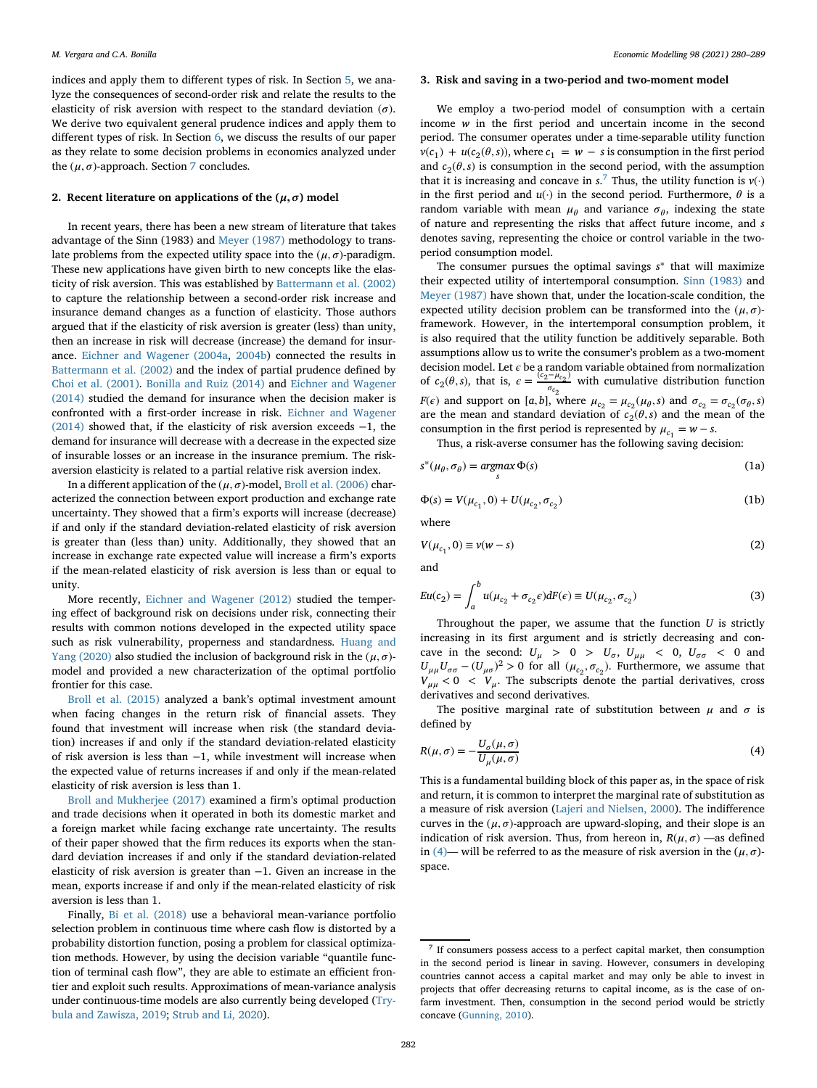indices and apply them to different types of risk. In Section [5,](#page-5-0) we analyze the consequences of second-order risk and relate the results to the elasticity of risk aversion with respect to the standard deviation  $(\sigma)$ . We derive two equivalent general prudence indices and apply them to different types of risk. In Section [6,](#page-7-0) we discuss the results of our paper as they relate to some decision problems in economics analyzed under the  $(\mu, \sigma)$ -approach. Section [7](#page-8-3) concludes.

#### <span id="page-2-0"></span>2. Recent literature on applications of the  $(\mu, \sigma)$  model

In recent years, there has been a new stream of literature that takes advantage of the Sinn (1983) and [Meyer \(1987\)](#page-9-10) methodology to translate problems from the expected utility space into the  $(\mu, \sigma)$ -paradigm. These new applications have given birth to new concepts like the elasticity of risk aversion. This was established by [Battermann et al. \(2002\)](#page-8-2) to capture the relationship between a second-order risk increase and insurance demand changes as a function of elasticity. Those authors argued that if the elasticity of risk aversion is greater (less) than unity, then an increase in risk will decrease (increase) the demand for insurance. [Eichner and Wagener \(2004a,](#page-9-19) [2004b\)](#page-9-20) connected the results in [Battermann et al. \(2002\)](#page-8-2) and the index of partial prudence defined by [Choi et al. \(2001\).](#page-9-35) [Bonilla and Ruiz \(2014\)](#page-9-18) and Eichner and Wagener (2014) [studied the demand for insurance when the decision maker is](#page-9-21) confronted with a first-order increase in risk. Eichner and Wagener (2014) [showed that, if the elasticity of risk aversion exceeds](#page-9-21) −1, the demand for insurance will decrease with a decrease in the expected size of insurable losses or an increase in the insurance premium. The riskaversion elasticity is related to a partial relative risk aversion index.

In a different application of the  $(\mu, \sigma)$ -model, [Broll et al. \(2006\)](#page-9-36) characterized the connection between export production and exchange rate uncertainty. They showed that a firm's exports will increase (decrease) if and only if the standard deviation-related elasticity of risk aversion is greater than (less than) unity. Additionally, they showed that an increase in exchange rate expected value will increase a firm's exports if the mean-related elasticity of risk aversion is less than or equal to unity.

More recently, [Eichner and Wagener \(2012\)](#page-9-26) studied the tempering effect of background risk on decisions under risk, connecting their results with common notions developed in the expected utility space [such as risk vulnerability, properness and standardness.](#page-9-37) Huang and Yang (2020) also studied the inclusion of background risk in the  $(\mu, \sigma)$ model and provided a new characterization of the optimal portfolio frontier for this case.

[Broll et al. \(2015\)](#page-9-22) analyzed a bank's optimal investment amount when facing changes in the return risk of financial assets. They found that investment will increase when risk (the standard deviation) increases if and only if the standard deviation-related elasticity of risk aversion is less than −1, while investment will increase when the expected value of returns increases if and only if the mean-related elasticity of risk aversion is less than 1.

[Broll and Mukherjee \(2017\)](#page-9-23) examined a firm's optimal production and trade decisions when it operated in both its domestic market and a foreign market while facing exchange rate uncertainty. The results of their paper showed that the firm reduces its exports when the standard deviation increases if and only if the standard deviation-related elasticity of risk aversion is greater than −1. Given an increase in the mean, exports increase if and only if the mean-related elasticity of risk aversion is less than 1.

<span id="page-2-1"></span>Finally, [Bi et al. \(2018\)](#page-9-38) use a behavioral mean-variance portfolio selection problem in continuous time where cash flow is distorted by a probability distortion function, posing a problem for classical optimization methods. However, by using the decision variable "quantile function of terminal cash flow", they are able to estimate an efficient frontier and exploit such results. Approximations of mean-variance analysis [under continuous-time models are also currently being developed \(Try](#page-9-39)bula and Zawisza, 2019; [Strub and Li, 2020\)](#page-9-40).

#### **3. Risk and saving in a two-period and two-moment model**

We employ a two-period model of consumption with a certain income *w* in the first period and uncertain income in the second period. The consumer operates under a time-separable utility function  $v(c_1) + u(c_2(\theta, s))$ , where  $c_1 = w - s$  is consumption in the first period and  $c_2(\theta, s)$  is consumption in the second period, with the assumption that it is increasing and concave in  $s$ .<sup>[7](#page-2-2)</sup> Thus, the utility function is  $v(\cdot)$ in the first period and  $u(\cdot)$  in the second period. Furthermore,  $\theta$  is a random variable with mean  $\mu_{\theta}$  and variance  $\sigma_{\theta}$ , indexing the state of nature and representing the risks that affect future income, and *s* denotes saving, representing the choice or control variable in the twoperiod consumption model.

The consumer pursues the optimal savings *s*<sup>∗</sup> that will maximize their expected utility of intertemporal consumption. [Sinn \(1983\)](#page-9-9) and [Meyer \(1987\)](#page-9-10) have shown that, under the location-scale condition, the expected utility decision problem can be transformed into the  $(\mu, \sigma)$ framework. However, in the intertemporal consumption problem, it is also required that the utility function be additively separable. Both assumptions allow us to write the consumer's problem as a two-moment decision model. Let *c* be a random variable obtained from normalization of *c*<sub>2</sub>( $\theta$ ,*s*), that is,  $\epsilon = \frac{(c_2 - \mu_{c_2})}{\sigma_{c_2}}$  with cumulative distribution function *F*( $\epsilon$ ) and support on [*a*,*b*], where  $\mu_{c_2} = \mu_{c_2}(\mu_{\theta}, s)$  and  $\sigma_{c_2} = \sigma_{c_2}(\sigma_{\theta}, s)$ are the mean and standard deviation of  $c_2(\theta, s)$  and the mean of the consumption in the first period is represented by  $\mu_{c_1} = w - s$ .

Thus, a risk-averse consumer has the following saving decision:

$$
s^*(\mu_\theta, \sigma_\theta) = \underset{s}{\operatorname{argmax}} \, \Phi(s) \tag{1a}
$$

$$
\Phi(s) = V(\mu_{c_1}, 0) + U(\mu_{c_2}, \sigma_{c_2})
$$
\n(1b)

where

$$
V(\mu_{c_1}, 0) \equiv v(w - s) \tag{2}
$$

and

<span id="page-2-4"></span>
$$
Eu(c_2) = \int_a^b u(\mu_{c_2} + \sigma_{c_2}\epsilon)dF(\epsilon) \equiv U(\mu_{c_2}, \sigma_{c_2})
$$
\n(3)

Throughout the paper, we assume that the function *U* is strictly increasing in its first argument and is strictly decreasing and concave in the second:  $U_{\mu}$  > 0 >  $U_{\sigma}$ ,  $U_{\mu\mu}$  < 0,  $U_{\sigma\sigma}$  < 0 and  $U_{\mu\mu}U_{\sigma\sigma} - (U_{\mu\sigma})^2 > 0$  for all  $(\mu_{c_2}, \sigma_{c_2})$ . Furthermore, we assume that  $V_{\mu\mu}$  < 0 <  $V_{\mu}$ . The subscripts denote the partial derivatives, cross derivatives and second derivatives.

The positive marginal rate of substitution between  $\mu$  and  $\sigma$  is defined by

<span id="page-2-3"></span>
$$
R(\mu, \sigma) = -\frac{U_{\sigma}(\mu, \sigma)}{U_{\mu}(\mu, \sigma)}
$$
(4)

This is a fundamental building block of this paper as, in the space of risk and return, it is common to interpret the marginal rate of substitution as a measure of risk aversion [\(Lajeri and Nielsen, 2000\)](#page-9-28). The indifference curves in the  $(\mu, \sigma)$ -approach are upward-sloping, and their slope is an indication of risk aversion. Thus, from hereon in,  $R(\mu, \sigma)$  —as defined in [\(4\)—](#page-2-3) will be referred to as the measure of risk aversion in the  $(\mu, \sigma)$ space.

<span id="page-2-2"></span><sup>7</sup> If consumers possess access to a perfect capital market, then consumption in the second period is linear in saving. However, consumers in developing countries cannot access a capital market and may only be able to invest in projects that offer decreasing returns to capital income, as is the case of onfarm investment. Then, consumption in the second period would be strictly concave [\(Gunning, 2010\)](#page-9-14).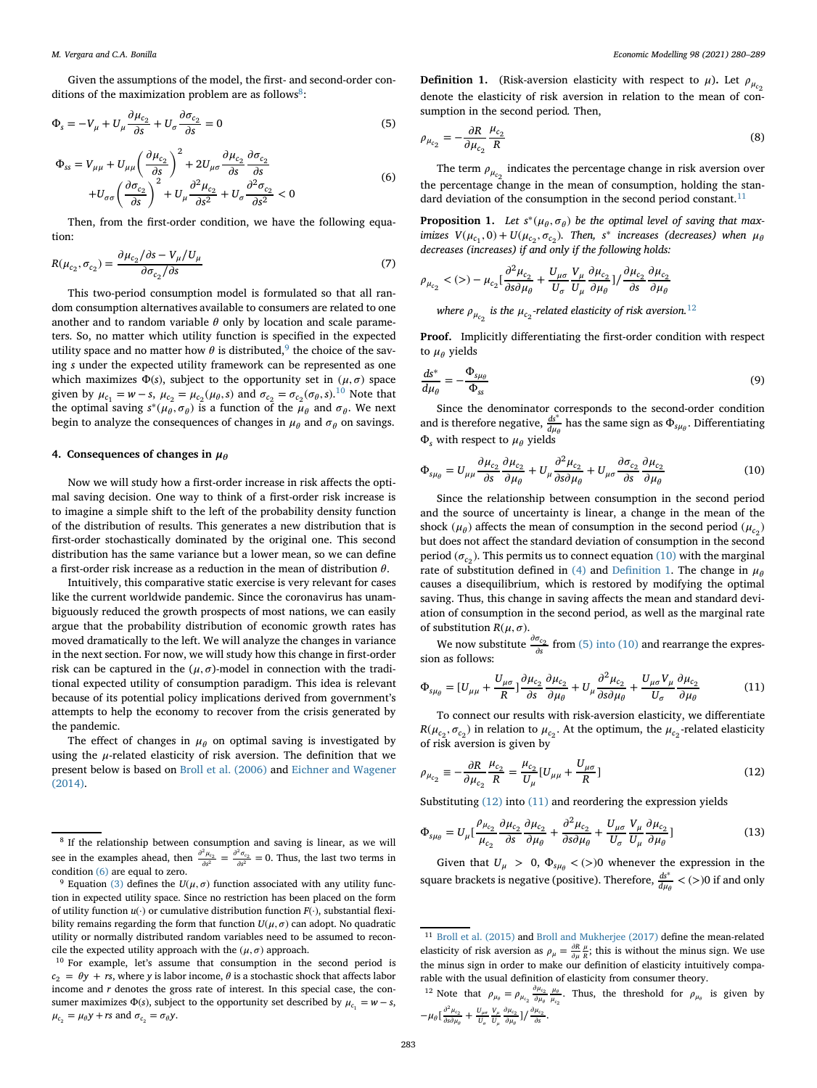Given the assumptions of the model, the first- and second-order conditions of the maximization problem are as follows<sup>8</sup>:

$$
\Phi_s = -V_\mu + U_\mu \frac{\partial \mu_{c_2}}{\partial s} + U_\sigma \frac{\partial \sigma_{c_2}}{\partial s} = 0
$$
\n(5)

<span id="page-3-4"></span>
$$
\Phi_{ss} = V_{\mu\mu} + U_{\mu\mu} \left(\frac{\partial \mu_{c_2}}{\partial s}\right)^2 + 2U_{\mu\sigma} \frac{\partial \mu_{c_2}}{\partial s} \frac{\partial \sigma_{c_2}}{\partial s} \n+ U_{\sigma\sigma} \left(\frac{\partial \sigma_{c_2}}{\partial s}\right)^2 + U_{\mu} \frac{\partial^2 \mu_{c_2}}{\partial s^2} + U_{\sigma} \frac{\partial^2 \sigma_{c_2}}{\partial s^2} < 0
$$
\n(6)

Then, from the first-order condition, we have the following equation:

$$
R(\mu_{c_2}, \sigma_{c_2}) = \frac{\partial \mu_{c_2}/\partial s - V_{\mu}/U_{\mu}}{\partial \sigma_{c_2}/\partial s} \tag{7}
$$

This two-period consumption model is formulated so that all random consumption alternatives available to consumers are related to one another and to random variable  $\theta$  only by location and scale parameters. So, no matter which utility function is specified in the expected utility space and no matter how  $\theta$  is distributed, the choice of the saving *s* under the expected utility framework can be represented as one which maximizes  $\Phi(s)$ , subject to the opportunity set in  $(\mu, \sigma)$  space given by  $\mu_{c_1} = w - s$ ,  $\mu_{c_2} = \mu_{c_2}(\mu_{\theta}, s)$  and  $\sigma_{c_2} = \sigma_{c_2}(\sigma_{\theta}, s)$ .<sup>[10](#page-3-3)</sup> Note that the optimal saving  $s^*(\mu_\theta, \sigma_\theta)$  is a function of the  $\mu_\theta$  and  $\sigma_\theta$ . We next begin to analyze the consequences of changes in  $\mu_{\theta}$  and  $\sigma_{\theta}$  on savings.

#### <span id="page-3-0"></span>**4. Consequences of changes in**  $\mu_{\theta}$

Now we will study how a first-order increase in risk affects the optimal saving decision. One way to think of a first-order risk increase is to imagine a simple shift to the left of the probability density function of the distribution of results. This generates a new distribution that is first-order stochastically dominated by the original one. This second distribution has the same variance but a lower mean, so we can define a first-order risk increase as a reduction in the mean of distribution  $\theta$ .

Intuitively, this comparative static exercise is very relevant for cases like the current worldwide pandemic. Since the coronavirus has unambiguously reduced the growth prospects of most nations, we can easily argue that the probability distribution of economic growth rates has moved dramatically to the left. We will analyze the changes in variance in the next section. For now, we will study how this change in first-order risk can be captured in the  $(\mu, \sigma)$ -model in connection with the traditional expected utility of consumption paradigm. This idea is relevant because of its potential policy implications derived from government's attempts to help the economy to recover from the crisis generated by the pandemic.

The effect of changes in  $\mu_{\theta}$  on optimal saving is investigated by using the  $\mu$ -related elasticity of risk aversion. The definition that we [present below is based on](#page-9-21) [Broll et al. \(2006\)](#page-9-36) and Eichner and Wagener (2014).

<span id="page-3-9"></span><span id="page-3-8"></span>**Definition 1.** (Risk-aversion elasticity with respect to  $\mu$ ). Let  $\rho_{\mu_{co}}$ denote the elasticity of risk aversion in relation to the mean of consumption in the second period*.* Then,

$$
\rho_{\mu_{c_2}} = -\frac{\partial R}{\partial \mu_{c_2}} \frac{\mu_{c_2}}{R} \tag{8}
$$

The term  $\rho_{\mu_{c_2}}$  indicates the percentage change in risk aversion over the percentage change in the mean of consumption, holding the stan-dard deviation of the consumption in the second period constant.<sup>[11](#page-3-5)</sup>

<span id="page-3-12"></span>**Proposition 1.** Let  $s^*(\mu_\theta, \sigma_\theta)$  be the optimal level of saving that max*imizes*  $V(\mu_{c_1}, 0) + U(\mu_{c_2}, \sigma_{c_2})$ *. Then, s<sup>\*</sup> increases (decreases) when*  $\mu_{\theta}$ *decreases (increases) if and only if the following holds:*

$$
\rho_{\mu_{c_2}} \langle (\rangle - \mu_{c_2} \left[ \frac{\partial^2 \mu_{c_2}}{\partial s \partial \mu_{\theta}} + \frac{U_{\mu \sigma}}{U_{\sigma}} \frac{V_{\mu}}{U_{\mu}} \frac{\partial \mu_{c_2}}{\partial \mu_{\theta}} \right] / \frac{\partial \mu_{c_2}}{\partial s} \frac{\partial \mu_{c_2}}{\partial \mu_{\theta}}
$$

where  $\rho_{\mu_{c_2}}$  is the  $\mu_{c_2}$ -related elasticity of risk aversion. $^{12}$  $^{12}$  $^{12}$ 

**Proof.** Implicitly differentiating the first-order condition with respect to  $\mu_{\theta}$  yields

$$
\frac{ds^*}{d\mu_\theta} = -\frac{\Phi_{s\mu_\theta}}{\Phi_{ss}}\tag{9}
$$

Since the denominator corresponds to the second-order condition and is therefore negative,  $\frac{ds^*}{d\mu_\theta}$  has the same sign as  $\Phi_{s\mu_\theta}$ . Differentiating  $\Phi_s$  with respect to  $\mu_\theta$  yields

<span id="page-3-7"></span>
$$
\Phi_{s\mu_{\theta}} = U_{\mu\mu} \frac{\partial \mu_{c_2}}{\partial s} \frac{\partial \mu_{c_2}}{\partial \mu_{\theta}} + U_{\mu} \frac{\partial^2 \mu_{c_2}}{\partial s \partial \mu_{\theta}} + U_{\mu\sigma} \frac{\partial \sigma_{c_2}}{\partial s} \frac{\partial \mu_{c_2}}{\partial \mu_{\theta}}
$$
(10)

Since the relationship between consumption in the second period and the source of uncertainty is linear, a change in the mean of the shock ( $\mu_{\theta}$ ) affects the mean of consumption in the second period ( $\mu_{c}$ ) but does not affect the standard deviation of consumption in the second period ( $\sigma_{c_2}$ ). This permits us to connect equation [\(10\)](#page-3-7) with the marginal rate of substitution defined in [\(4\)](#page-2-3) and [Definition 1.](#page-3-8) The change in  $\mu_{\theta}$ causes a disequilibrium, which is restored by modifying the optimal saving. Thus, this change in saving affects the mean and standard deviation of consumption in the second period, as well as the marginal rate of substitution  $R(\mu, \sigma)$ .

We now substitute  $\frac{\partial \sigma_{c_2}}{\partial s}$  from [\(5\) into \(10\)](#page-3-9) and rearrange the expression as follows:

<span id="page-3-11"></span>
$$
\Phi_{s\mu_{\theta}} = [U_{\mu\mu} + \frac{U_{\mu\sigma}}{R}] \frac{\partial \mu_{c_2}}{\partial s} \frac{\partial \mu_{c_2}}{\partial \mu_{\theta}} + U_{\mu} \frac{\partial^2 \mu_{c_2}}{\partial s \partial \mu_{\theta}} + \frac{U_{\mu\sigma} V_{\mu}}{U_{\sigma}} \frac{\partial \mu_{c_2}}{\partial \mu_{\theta}}
$$
(11)

To connect our results with risk-aversion elasticity, we differentiate  $R(\mu_{c_2}, \sigma_{c_2})$  in relation to  $\mu_{c_2}$ . At the optimum, the  $\mu_{c_2}$ -related elasticity of risk aversion is given by

<span id="page-3-10"></span>
$$
\rho_{\mu_{c_2}} \equiv -\frac{\partial R}{\partial \mu_{c_2}} \frac{\mu_{c_2}}{R} = \frac{\mu_{c_2}}{U_{\mu}} [U_{\mu\mu} + \frac{U_{\mu\sigma}}{R}]
$$
\n(12)

Substituting [\(12\)](#page-3-10) into [\(11\)](#page-3-11) and reordering the expression yields

$$
\Phi_{s\mu_{\theta}} = U_{\mu} \left[ \frac{\rho_{\mu_{c_2}}}{\mu_{c_2}} \frac{\partial \mu_{c_2}}{\partial s} \frac{\partial \mu_{c_2}}{\partial \mu_{\theta}} + \frac{\partial^2 \mu_{c_2}}{\partial s \partial \mu_{\theta}} + \frac{U_{\mu\sigma}}{U_{\sigma}} \frac{V_{\mu}}{U_{\mu}} \frac{\partial \mu_{c_2}}{\partial \mu_{\theta}} \right]
$$
(13)

Given that  $U_{\mu} > 0$ ,  $\Phi_{s\mu\theta} < (>)0$  whenever the expression in the square brackets is negative (positive). Therefore,  $\frac{ds^*}{d\mu_\theta} < (>)0$  if and only

<span id="page-3-1"></span><sup>&</sup>lt;sup>8</sup> If the relationship between consumption and saving is linear, as we will see in the examples ahead, then  $\frac{\partial^2 \mu_{c_2}}{\partial s^2} = \frac{\partial^2 \sigma_{c_2}}{\partial s^2} = 0$ . Thus, the last two terms in condition [\(6\)](#page-3-4) are equal to zero.

<span id="page-3-2"></span><sup>&</sup>lt;sup>9</sup> Equation [\(3\)](#page-2-4) defines the  $U(\mu, \sigma)$  function associated with any utility function in expected utility space. Since no restriction has been placed on the form of utility function *u*(·) or cumulative distribution function *F*(·), substantial flexibility remains regarding the form that function  $U(\mu, \sigma)$  can adopt. No quadratic utility or normally distributed random variables need to be assumed to reconcile the expected utility approach with the  $(\mu, \sigma)$  approach.

<span id="page-3-3"></span><sup>10</sup> For example, let's assume that consumption in the second period is  $c_2 = \theta y + rs$ , where *y* is labor income,  $\theta$  is a stochastic shock that affects labor income and *r* denotes the gross rate of interest. In this special case, the consumer maximizes  $\Phi(s)$ , subject to the opportunity set described by  $\mu_{c_1} = w - s$ ,  $\mu_{c_2} = \mu_{\theta} y + rs$  and  $\sigma_{c_2} = \sigma_{\theta} y$ .

<span id="page-3-5"></span><sup>11</sup> [Broll et al. \(2015\)](#page-9-22) and [Broll and Mukherjee \(2017\)](#page-9-23) define the mean-related elasticity of risk aversion as  $\rho_{\mu} = \frac{\partial R}{\partial \mu} \frac{\mu}{R}$ ; this is without the minus sign. We use the minus sign in order to make our definition of elasticity intuitively comparable with the usual definition of elasticity from consumer theory.

<span id="page-3-6"></span><sup>&</sup>lt;sup>12</sup> Note that  $\rho_{\mu_{\theta}} = \rho_{\mu_{c_2}} \frac{\partial \mu_{c_2}}{\partial \mu_{\theta}} \frac{\mu_{\theta}}{\mu_{c_2}}$ . Thus, the threshold for  $\rho_{\mu_{\theta}}$  is given by  $-\mu_{\theta} \left[ \frac{\partial^2 \mu_{c_2}}{\partial s \partial \mu_{\theta}} + \frac{U_{\mu\sigma}}{U_{\sigma}} \frac{V_{\mu}}{U_{\mu}} \frac{\partial \mu_{c_2}}{\partial \mu_{\theta}} \right] / \frac{\partial \mu_{c_2}}{\partial s}.$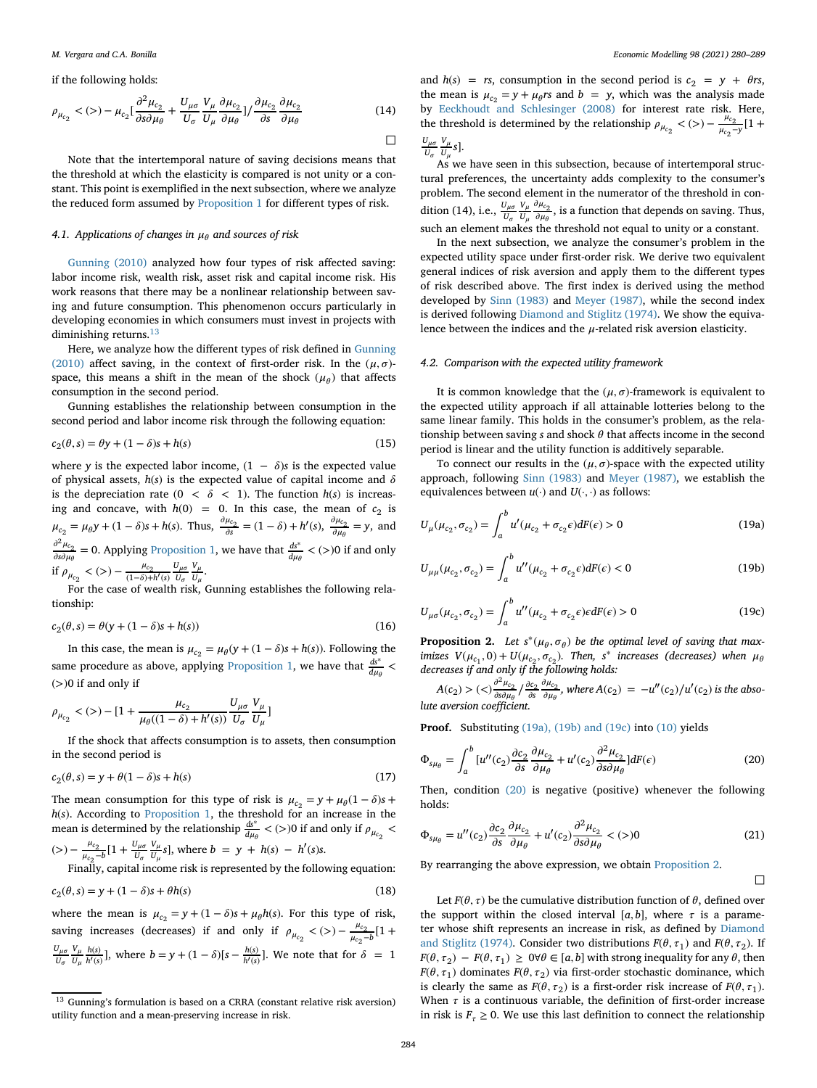if the following holds:

$$
\rho_{\mu_{c_2}} \langle (\rangle) - \mu_{c_2} \left[ \frac{\partial^2 \mu_{c_2}}{\partial s \partial \mu_{\theta}} + \frac{U_{\mu \sigma}}{U_{\sigma}} \frac{V_{\mu}}{U_{\mu}} \frac{\partial \mu_{c_2}}{\partial \mu_{\theta}} \right] / \frac{\partial \mu_{c_2}}{\partial s} \frac{\partial \mu_{c_2}}{\partial \mu_{\theta}}
$$
(14)

Note that the intertemporal nature of saving decisions means that the threshold at which the elasticity is compared is not unity or a constant. This point is exemplified in the next subsection, where we analyze the reduced form assumed by [Proposition 1](#page-3-12) for different types of risk.

#### <span id="page-4-9"></span>*4.1. Applications of changes in and sources of risk*

[Gunning \(2010\)](#page-9-14) analyzed how four types of risk affected saving: labor income risk, wealth risk, asset risk and capital income risk. His work reasons that there may be a nonlinear relationship between saving and future consumption. This phenomenon occurs particularly in developing economies in which consumers must invest in projects with diminishing returns.<sup>[13](#page-4-0)</sup>

[Here, we analyze how the different types of risk defined in](#page-9-14) Gunning (2010) affect saving, in the context of first-order risk. In the  $(\mu, \sigma)$ space, this means a shift in the mean of the shock  $(\mu_{\theta})$  that affects consumption in the second period.

Gunning establishes the relationship between consumption in the second period and labor income risk through the following equation:

$$
c_2(\theta, s) = \theta y + (1 - \delta)s + h(s)
$$
\n(15)

where *y* is the expected labor income,  $(1 - \delta)s$  is the expected value of physical assets,  $h(s)$  is the expected value of capital income and  $\delta$ is the depreciation rate ( $0 < \delta < 1$ ). The function  $h(s)$  is increasing and concave, with  $h(0) = 0$ . In this case, the mean of  $c_2$  is  $\mu_{c_2} = \mu_{\theta} y + (1 - \delta)s + h(s)$ . Thus,  $\frac{\partial \mu_{c_2}}{\partial s} = (1 - \delta) + h'(s)$ ,  $\frac{\partial \mu_{c_2}}{\partial \mu_{\theta}} = y$ , and  $\frac{\partial^2 \mu_{c_2}}{\partial s \partial \mu_{\theta}} = 0$ . Applying [Proposition 1,](#page-3-12) we have that  $\frac{d s^*}{d \mu_{\theta}} < (>)0$  if and only if  $\rho_{\mu_{c_2}} < (>) - \frac{\mu_{c_2}}{(1-\delta) + h'(s)} \frac{U_{\mu\sigma}}{U_{\sigma}} \frac{V_{\mu}}{U_{\mu}}.$ 

For the case of wealth risk, Gunning establishes the following relationship:

<span id="page-4-6"></span>
$$
c_2(\theta, s) = \theta(y + (1 - \delta)s + h(s))
$$
\n(16)

In this case, the mean is  $\mu_{c_2} = \mu_{\theta}(y + (1 - \delta)s + h(s))$ . Following the same procedure as above, applying [Proposition 1,](#page-3-12) we have that  $\frac{ds^*}{d\mu_\theta}$  < (*>*)0 if and only if

$$
\rho_{\mu_{c_2}}<(>)-[1+\frac{\mu_{c_2}}{\mu_{\theta}((1-\delta)+h'(s))}\frac{U_{\mu\sigma}}{U_{\sigma}}\frac{V_{\mu}}{U_{\mu}}]
$$

If the shock that affects consumption is to assets, then consumption in the second period is

$$
c_2(\theta, s) = y + \theta(1 - \delta)s + h(s)
$$
\n(17)

The mean consumption for this type of risk is  $\mu_{c_2} = y + \mu_{\theta} (1 - \delta)s +$ *h*(*s*). According to [Proposition 1,](#page-3-12) the threshold for an increase in the mean is determined by the relationship  $\frac{ds^*}{d\mu_\theta}$  < (>)0 if and only if  $\rho_{\mu_{c_2}}$  <  $(z) - \frac{\mu_{c_2}}{\mu_{c_2} - b} [1 + \frac{U_{\mu\sigma}}{U_{\sigma}}]$ *V U*<sub>µ</sub>  $\frac{V_{\mu}}{U_{\mu}}s$ ], where *b* = *y* + *h*(*s*) – *h'*(*s*)*s*.

Finally, capital income risk is represented by the following equation:

$$
c_2(\theta, s) = y + (1 - \delta)s + \theta h(s)
$$
\n(18)

where the mean is  $\mu_{c_2} = y + (1 - \delta)s + \mu_{\theta}h(s)$ . For this type of risk, saving increases (decreases) if and only if  $\rho_{\mu_{c_2}} < (>) - \frac{\mu_{c_2}}{\mu_{c_2} - b} [1 +$  $U_{\mu\sigma}$ *U V U h*(*s*)</sup>  $\frac{h(s)}{h'(s)}$ ], where *b* = *y* + (1 −  $\delta$ )[*s* −  $\frac{h(s)}{h'(s)}$ ]. We note that for  $\delta = 1$  and  $h(s) = rs$ , consumption in the second period is  $c_2 = y + \theta rs$ , the mean is  $\mu_{c_2} = y + \mu_{\theta} r s$  and  $b = y$ , which was the analysis made by [Eeckhoudt and Schlesinger \(2008\)](#page-9-41) for interest rate risk. Here, the threshold is determined by the relationship  $\rho_{\mu_{c_2}} < (>) - \frac{\mu_{c_2}}{\mu_{c_2 - y}} [1 +$ *U V s*].

$$
\frac{\sigma_{\mu\sigma}}{U_{\sigma}}\frac{\cdot\mu}{U_{\mu}}.
$$

 $U_{\mu}$ <sup>U</sup><sub>H</sub>, <sup>2</sup>J.<br>As we have seen in this subsection, because of intertemporal structural preferences, the uncertainty adds complexity to the consumer's problem. The second element in the numerator of the threshold in condition (14), i.e.,  $\frac{U_{\mu\sigma}}{U_{\sigma}}$ *V*  $\frac{V_{\mu}}{U_{\mu}} \frac{\partial \mu_{c_2}}{\partial \mu_{\theta}}$ , is a function that depends on saving. Thus, such an element makes the threshold not equal to unity or a constant.

In the next subsection, we analyze the consumer's problem in the expected utility space under first-order risk. We derive two equivalent general indices of risk aversion and apply them to the different types of risk described above. The first index is derived using the method developed by [Sinn \(1983\)](#page-9-9) and [Meyer \(1987\),](#page-9-10) while the second index is derived following [Diamond and Stiglitz \(1974\).](#page-9-13) We show the equivalence between the indices and the  $\mu$ -related risk aversion elasticity.

#### <span id="page-4-7"></span>*4.2. Comparison with the expected utility framework*

It is common knowledge that the  $(\mu, \sigma)$ -framework is equivalent to the expected utility approach if all attainable lotteries belong to the same linear family. This holds in the consumer's problem, as the relationship between saving  $s$  and shock  $\theta$  that affects income in the second period is linear and the utility function is additively separable.

<span id="page-4-5"></span>To connect our results in the  $(\mu, \sigma)$ -space with the expected utility approach, following [Sinn \(1983\)](#page-9-9) and [Meyer \(1987\),](#page-9-10) we establish the equivalences between  $u(\cdot)$  and  $U(\cdot, \cdot)$  as follows:

$$
U_{\mu}(\mu_{c_2}, \sigma_{c_2}) = \int_a^b u'(\mu_{c_2} + \sigma_{c_2} \epsilon) dF(\epsilon) > 0
$$
 (19a)

<span id="page-4-1"></span>
$$
U_{\mu\mu}(\mu_{c_2}, \sigma_{c_2}) = \int_a^b u''(\mu_{c_2} + \sigma_{c_2}\epsilon)dF(\epsilon) < 0
$$
 (19b)

<span id="page-4-8"></span>
$$
U_{\mu\sigma}(\mu_{c_2}, \sigma_{c_2}) = \int_a^b u''(\mu_{c_2} + \sigma_{c_2}\epsilon)\epsilon dF(\epsilon) > 0
$$
 (19c)

<span id="page-4-3"></span>**Proposition 2.** Let  $s^*(\mu_\theta, \sigma_\theta)$  be the optimal level of saving that max*imizes*  $V(\mu_{c_1}, 0) + U(\mu_{c_2}, \sigma_{c_2})$ *. Then, s*<sup>\*</sup> *increases* (decreases) when  $\mu_{\theta}$ *decreases if and only if the following holds:*

$$
A(c_2) > \frac{\partial^2 \mu_{c_2}}{\partial s \partial \mu_{\theta}} / \frac{\partial c_2}{\partial s} \frac{\partial \mu_{c_2}}{\partial \mu_{\theta}}, \text{ where } A(c_2) = -u''(c_2) / u'(c_2) \text{ is the absolute aversion coefficient.}
$$

**Proof.** Substituting [\(19a\), \(19b\) and \(19c\)](#page-4-1) into [\(10\)](#page-3-7) yields

$$
\Phi_{s\mu\theta} = \int_{a}^{b} \left[ u''(c_2) \frac{\partial c_2}{\partial s} \frac{\partial \mu_{c_2}}{\partial \mu_{\theta}} + u'(c_2) \frac{\partial^2 \mu_{c_2}}{\partial s \partial \mu_{\theta}} \right] dF(\epsilon)
$$
(20)

Then, condition [\(20\)](#page-4-2) is negative (positive) whenever the following holds:

<span id="page-4-4"></span>
$$
\Phi_{s\mu_{\theta}} = u''(c_2) \frac{\partial c_2}{\partial s} \frac{\partial \mu_{c_2}}{\partial \mu_{\theta}} + u'(c_2) \frac{\partial^2 \mu_{c_2}}{\partial s \partial \mu_{\theta}} < (>)0 \tag{21}
$$

By rearranging the above expression, we obtain [Proposition 2.](#page-4-3)

<span id="page-4-2"></span>□

Let  $F(\theta, \tau)$  be the cumulative distribution function of  $\theta$ , defined over the support within the closed interval [ $a$ , $b$ ], where  $\tau$  is a parame[ter whose shift represents an increase in risk, as defined by](#page-9-13) Diamond and Stiglitz (1974). Consider two distributions  $F(\theta, \tau_1)$  and  $F(\theta, \tau_2)$ . If  $F(\theta, \tau_2) - F(\theta, \tau_1) \geq 0 \forall \theta \in [a, b]$  with strong inequality for any  $\theta$ , then  $F(\theta, \tau_1)$  dominates  $F(\theta, \tau_2)$  via first-order stochastic dominance, which is clearly the same as  $F(\theta, \tau)$  is a first-order risk increase of  $F(\theta, \tau)$ . When  $\tau$  is a continuous variable, the definition of first-order increase in risk is  $F_{\tau} \geq 0$ . We use this last definition to connect the relationship

<span id="page-4-0"></span> $^{13}$  Gunning's formulation is based on a CRRA (constant relative risk aversion) utility function and a mean-preserving increase in risk.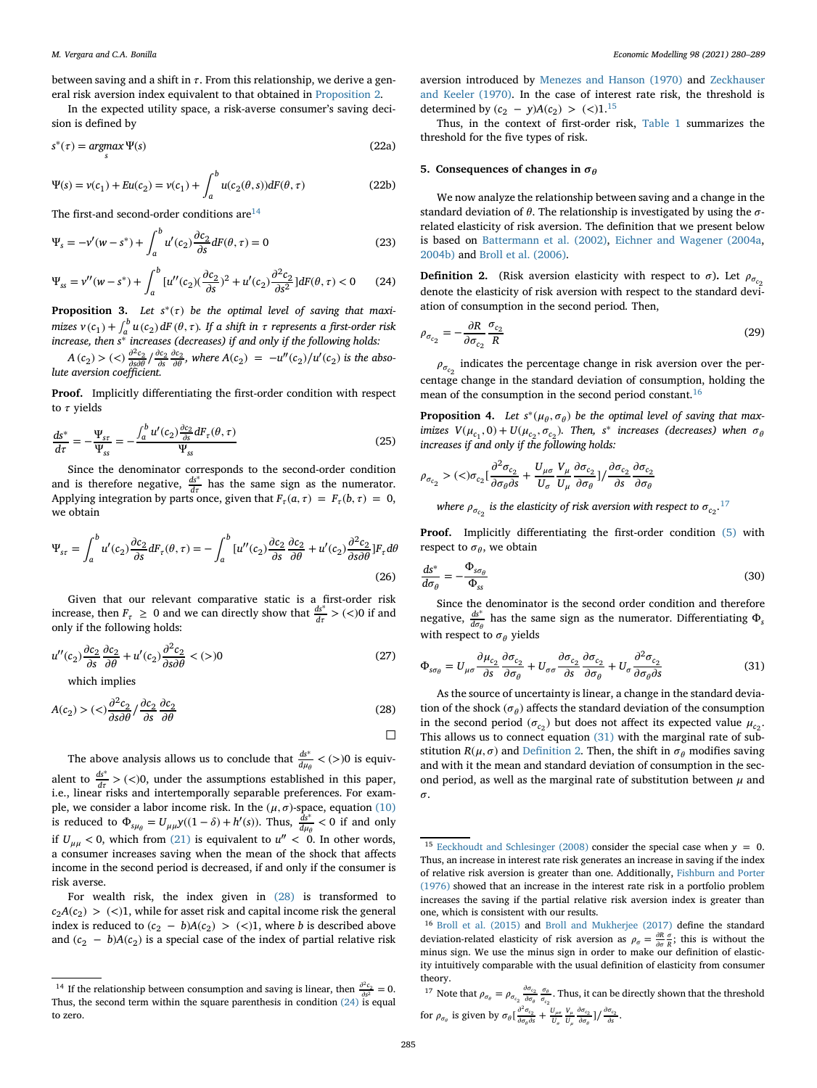between saving and a shift in  $\tau$ . From this relationship, we derive a general risk aversion index equivalent to that obtained in [Proposition 2.](#page-4-3)

In the expected utility space, a risk-averse consumer's saving decision is defined by

$$
s^*(\tau) = \underset{s}{\operatorname{argmax}} \Psi(s) \tag{22a}
$$

$$
\Psi(s) = \nu(c_1) + Eu(c_2) = \nu(c_1) + \int_a^b u(c_2(\theta, s))dF(\theta, \tau)
$$
\n(22b)

The first-and second-order conditions are  $14$ 

$$
\Psi_s = -v'(w - s^*) + \int_a^b u'(c_2) \frac{\partial c_2}{\partial s} dF(\theta, \tau) = 0
$$
\n(23)

<span id="page-5-3"></span>
$$
\Psi_{ss} = \nu''(w - s^*) + \int_a^b [u''(c_2)(\frac{\partial c_2}{\partial s})^2 + u'(c_2)\frac{\partial^2 c_2}{\partial s^2}]dF(\theta, \tau) < 0 \tag{24}
$$

**Proposition 3.** Let  $s^*(\tau)$  be the optimal level of saving that maxi*mizes*  $v(c_1) + \int_a^b u(c_2) dF(\theta, \tau)$ . If a shift in  $\tau$  represents a first-order risk *increase, then s*<sup>∗</sup> *increases (decreases) if and only if the following holds:*

*A* (*c*<sub>2</sub>) > (<)  $\frac{\partial^2 c_2}{\partial s \partial \theta}$ / $\frac{\partial c_2}{\partial s}$ , where *A*(*c*<sub>2</sub>) = −*u*″(*c*<sub>2</sub>)/*u'*(*c*<sub>2</sub>) *is the abso-lute aversion coefficient.* 

**Proof.** Implicitly differentiating the first-order condition with respect to  $\tau$  yields

<span id="page-5-10"></span>
$$
\frac{ds^*}{d\tau} = -\frac{\Psi_{sr}}{\Psi_{ss}} = -\frac{\int_a^b u'(c_2) \frac{\partial c_2}{\partial s} dF_\tau(\theta, \tau)}{\Psi_{ss}}
$$
(25)

Since the denominator corresponds to the second-order condition and is therefore negative,  $\frac{ds^*}{dt}$  has the same sign as the numerator. Applying integration by parts once, given that  $F_{\tau}(a, \tau) = F_{\tau}(b, \tau) = 0$ , we obtain

$$
\Psi_{sr} = \int_{a}^{b} u'(c_2) \frac{\partial c_2}{\partial s} dF_{\tau}(\theta, \tau) = -\int_{a}^{b} [u''(c_2) \frac{\partial c_2}{\partial s} \frac{\partial c_2}{\partial \theta} + u'(c_2) \frac{\partial^2 c_2}{\partial s \partial \theta}] F_{\tau} d\theta
$$
\n(26)

Given that our relevant comparative static is a first-order risk increase, then  $F_{\tau} \ge 0$  and we can directly show that  $\frac{ds^*}{d\tau} > (<)0$  if and only if the following holds:

$$
u''(c_2)\frac{\partial c_2}{\partial s}\frac{\partial c_2}{\partial \theta} + u'(c_2)\frac{\partial^2 c_2}{\partial s \partial \theta} < (>)0\tag{27}
$$

<span id="page-5-2"></span>which implies

$$
A(c_2) > \left( \langle \rangle \frac{\partial^2 c_2}{\partial s \partial \theta} / \frac{\partial c_2}{\partial s} \frac{\partial c_2}{\partial \theta} \right) \tag{28}
$$

The above analysis allows us to conclude that  $\frac{ds^*}{d\mu_\theta} < (>)0$  is equivalent to  $\frac{ds^*}{dt}$  > (<)0, under the assumptions established in this paper, i.e., linear risks and intertemporally separable preferences. For example, we consider a labor income risk. In the  $(\mu, \sigma)$ -space, equation [\(10\)](#page-3-7) is reduced to  $\Phi_{s\mu_{\theta}} = U_{\mu\mu}y((1 - \delta) + h'(s))$ . Thus,  $\frac{\delta s^*}{d\mu_{\theta}} < 0$  if and only if  $U_{\mu\mu}$  < 0, which from [\(21\)](#page-4-4) is equivalent to  $u'' < 0$ . In other words, a consumer increases saving when the mean of the shock that affects income in the second period is decreased, if and only if the consumer is risk averse.

For wealth risk, the index given in [\(28\)](#page-5-2) is transformed to  $c_2A(c_2)$  > (<)1, while for asset risk and capital income risk the general index is reduced to  $(c_2 - b)A(c_2) > ($ 1), where *b* is described above and  $(c_2 - b)A(c_2)$  is a special case of the index of partial relative risk aversion introduced by [Menezes and Hanson \(1970\)](#page-9-42) and Zeckhauser [and Keeler \(1970\). In the case of interest rate risk, the threshold is](#page-9-43) determined by  $(c_2 - y)A(c_2) > ($ 1.<sup>[15](#page-5-4)</sup>

Thus, in the context of first-order risk, [Table 1](#page-6-0) summarizes the threshold for the five types of risk.

#### <span id="page-5-0"></span>**5. Consequences of changes in**  $\sigma_{\theta}$

We now analyze the relationship between saving and a change in the standard deviation of  $\theta$ . The relationship is investigated by using the  $\sigma$ related elasticity of risk aversion. The definition that we present below is based on [Battermann et al. \(2002\),](#page-8-2) [Eichner and Wagener \(2004a,](#page-9-19) [2004b\)](#page-9-20) and [Broll et al. \(2006\).](#page-9-36)

<span id="page-5-8"></span>**Definition 2.** (Risk aversion elasticity with respect to  $\sigma$ ). Let  $\rho_{\sigma_{co}}$ denote the elasticity of risk aversion with respect to the standard deviation of consumption in the second period*.* Then,

$$
\rho_{\sigma_{c_2}} = -\frac{\partial R}{\partial \sigma_{c_2}} \frac{\sigma_{c_2}}{R}
$$
\n(29)

 $\rho_{\sigma_{c_2}}$  indicates the percentage change in risk aversion over the percentage change in the standard deviation of consumption, holding the mean of the consumption in the second period constant.[16](#page-5-5)

<span id="page-5-9"></span>**Proposition 4.** Let  $s^*(\mu_\theta, \sigma_\theta)$  be the optimal level of saving that max*imizes*  $V(\mu_{c_1}, 0) + U(\mu_{c_2}, \sigma_{c_2})$ *. Then, s*<sup>\*</sup> *increases* (decreases) when  $\sigma_{\theta}$ *increases if and only if the following holds:*

$$
\rho_{\sigma_{c_2}} > (\langle)\sigma_{c_2} \left[\frac{\partial^2 \sigma_{c_2}}{\partial \sigma_{\theta} \partial s} + \frac{U_{\mu\sigma}}{U_{\sigma}} \frac{V_{\mu}}{U_{\mu}} \frac{\partial \sigma_{c_2}}{\partial \sigma_{\theta}}\right] / \frac{\partial \sigma_{c_2}}{\partial s} \frac{\partial \sigma_{c_2}}{\partial \sigma_{\theta}}
$$
\nwhere  $\rho_{\sigma_{c_2}}$  is the elasticity of risk aversion with respect to  $\sigma_{c_2}$ .<sup>17</sup>

Proof. Implicitly differentiating the first-order condition [\(5\)](#page-3-9) with respect to  $\sigma_{\theta}$ , we obtain

$$
\frac{ds^*}{d\sigma_\theta} = -\frac{\Phi_{s\sigma_\theta}}{\Phi_{ss}}\tag{30}
$$

Since the denominator is the second order condition and therefore negative,  $\frac{d s^*}{d \sigma_\theta}$  has the same sign as the numerator. Differentiating  $\Phi_s$ with respect to  $\sigma_{\theta}$  yields

<span id="page-5-7"></span>
$$
\Phi_{s\sigma_{\theta}} = U_{\mu\sigma} \frac{\partial \mu_{c_2}}{\partial s} \frac{\partial \sigma_{c_2}}{\partial \sigma_{\theta}} + U_{\sigma\sigma} \frac{\partial \sigma_{c_2}}{\partial s} \frac{\partial \sigma_{c_2}}{\partial \sigma_{\theta}} + U_{\sigma} \frac{\partial^2 \sigma_{c_2}}{\partial \sigma_{\theta} \partial s}
$$
(31)

As the source of uncertainty is linear, a change in the standard deviation of the shock  $(\sigma_{\theta})$  affects the standard deviation of the consumption in the second period ( $\sigma_{c_2}$ ) but does not affect its expected value  $\mu_{c_2}$ . This allows us to connect equation [\(31\)](#page-5-7) with the marginal rate of substitution  $R(\mu, \sigma)$  and [Definition 2.](#page-5-8) Then, the shift in  $\sigma_{\theta}$  modifies saving and with it the mean and standard deviation of consumption in the second period, as well as the marginal rate of substitution between  $\mu$  and  $\sigma$ .

□

<span id="page-5-1"></span><sup>&</sup>lt;sup>14</sup> If the relationship between consumption and saving is linear, then  $\frac{\partial^2 c_2}{\partial s^2} = 0$ . Thus, the second term within the square parenthesis in condition  $(24)$  is equal to zero.

<span id="page-5-4"></span><sup>&</sup>lt;sup>15</sup> [Eeckhoudt and Schlesinger \(2008\)](#page-9-41) consider the special case when  $y = 0$ . Thus, an increase in interest rate risk generates an increase in saving if the index of relative risk aversion is greater than one. Additionally, Fishburn and Porter (1976) [showed that an increase in the interest rate risk in a portfolio problem](#page-9-44) increases the saving if the partial relative risk aversion index is greater than one, which is consistent with our results.

<span id="page-5-5"></span><sup>16</sup> [Broll et al. \(2015\)](#page-9-22) and [Broll and Mukherjee \(2017\)](#page-9-23) define the standard deviation-related elasticity of risk aversion as  $\rho_{\sigma} = \frac{\partial R}{\partial \sigma} \frac{\sigma}{R}$ ; this is without the minus sign. We use the minus sign in order to make our definition of elasticity intuitively comparable with the usual definition of elasticity from consumer theory.

<span id="page-5-6"></span><sup>&</sup>lt;sup>17</sup> Note that  $\rho_{\sigma_{\theta}} = \rho_{\sigma_{c_2}} \frac{\partial \sigma_{c_2}}{\partial \sigma_{\theta}} \frac{\sigma_{\theta}}{\sigma_{c_2}}$ . Thus, it can be directly shown that the threshold for  $\rho_{\sigma_{\theta}}$  is given by  $\sigma_{\theta} \left[ \frac{\partial^2 \sigma_{c_2}}{\partial \sigma_{\theta} \partial s} + \frac{U_{\mu\sigma}}{U_{\sigma}} \frac{V_{\mu}}{U_{\mu}} \frac{\partial \sigma_{c_2}}{\partial \sigma_{\theta}} \right] / \frac{\partial \sigma_{c_2}}{\partial s}$ .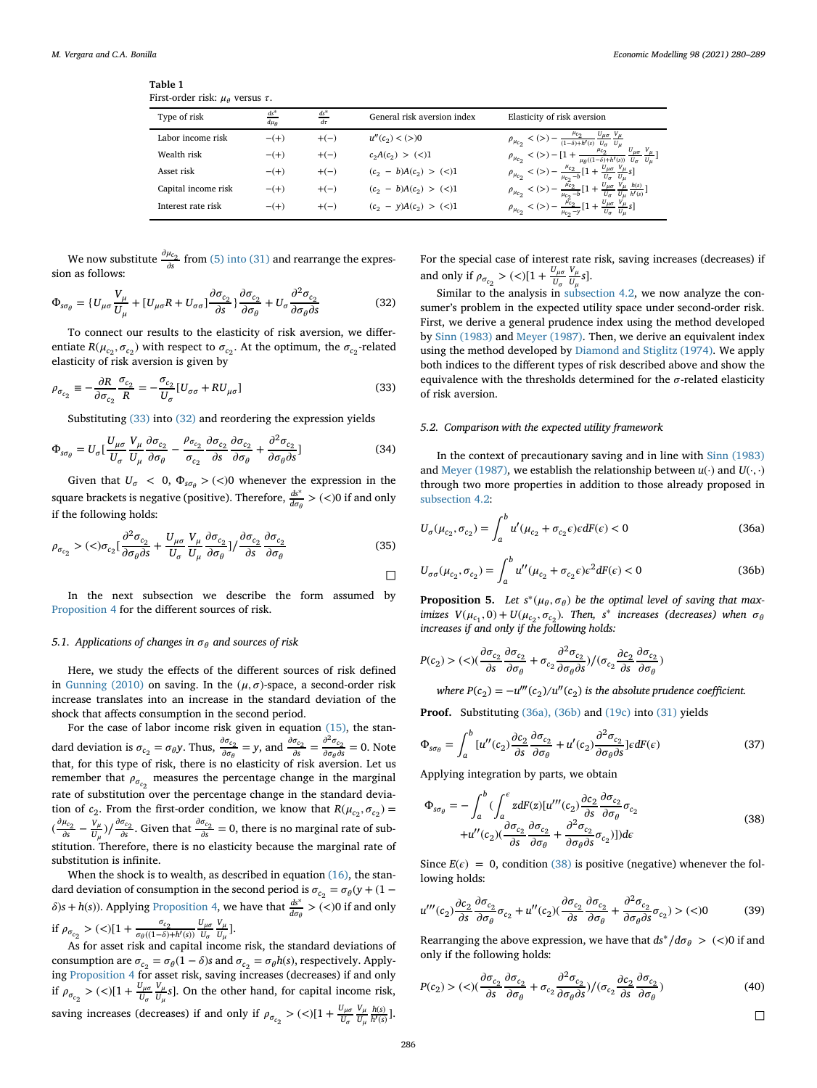| ravic r                                          |  |  |
|--------------------------------------------------|--|--|
| First-order risk: $\mu_{\theta}$ versus $\tau$ . |  |  |

**Table 1**

<span id="page-6-0"></span>

| Type of risk        | $ds^*$<br>$d\mu_{\theta}$ | $\frac{ds^*}{d\tau}$ | General risk aversion index | Elasticity of risk aversion                                                                                                                                                                                                                                                                                                                                                                                                          |
|---------------------|---------------------------|----------------------|-----------------------------|--------------------------------------------------------------------------------------------------------------------------------------------------------------------------------------------------------------------------------------------------------------------------------------------------------------------------------------------------------------------------------------------------------------------------------------|
| Labor income risk   | $- (+)$                   | $+(-)$               | $u''(c_2) < (>)0$           | $\begin{array}{l} {\rho _{\mu _{c2}}}<\left( > \right)-\frac{{\mu _{c2}}}{{\left( {1 - \delta } \right) + h'\left( s \right)}}\frac{{U_{\mu \sigma} }}{{U_{\mu} }}\frac{{V_{\mu} }}{{U_{\mu} }}\\ {\rho _{\mu _{c2}}}<\left( > \right)-\left[ {1 + \frac{{\mu _{c2}}}{{\mu _{\theta }}\left( {(1 - \delta ) + h'\left( s \right)} \right)}}\frac{{U_{\mu \sigma} }}{{U_{\sigma} }}\frac{{V_{\mu} }}{{U_{\mu} }} \right]}\end{array}$ |
| Wealth risk         | $- (+)$                   | $+(-)$               | $c_2A(c_2) > (\leq)1$       |                                                                                                                                                                                                                                                                                                                                                                                                                                      |
| Asset risk          | $- (+)$                   | $+(-)$               | $(c_2 - b)A(c_2) > (\leq)1$ |                                                                                                                                                                                                                                                                                                                                                                                                                                      |
| Capital income risk | $- (+)$                   | $+(-)$               | $(c_2 - b)A(c_2) > (\leq)1$ | $\label{eq:11} \begin{array}{c} \rho_{\mu_{c_2}}<(>)-\frac{\mu_{c_2}}{\mu_{c_2-b}}[1+\frac{U_{\mu\sigma}}{U_{\sigma}}\frac{V_{\mu}}{U_{\mu}}s]\\ \rho_{\mu_{c_2}}<(>)-\frac{\mu_{c_2}}{\mu_{c_2-b}}[1+\frac{U_{\mu\sigma}}{U_{\sigma}}\frac{V_{\mu}}{U_{\mu}}\frac{h(s)}{h'(s)}] \end{array}$                                                                                                                                        |
| Interest rate risk  | $- (+)$                   | $+(-)$               | $(c_2 - y)A(c_2) > (\leq)1$ | $\rho_{\mu_{c_2}} < (>) - \frac{\bar{\mu_{c_2}}}{\mu_{c_2} - y} [1 + \frac{U_{\mu\sigma}}{U_{\sigma}} \frac{V_{\mu}}{U_{\mu}} s]$                                                                                                                                                                                                                                                                                                    |

We now substitute  $\frac{\partial \mu_{c_2}}{\partial s}$  from [\(5\) into \(31\)](#page-3-9) and rearrange the expression as follows:

<span id="page-6-2"></span>
$$
\Phi_{s\sigma_{\theta}} = \{U_{\mu\sigma}\frac{V_{\mu}}{U_{\mu}} + [U_{\mu\sigma}R + U_{\sigma\sigma}]\frac{\partial \sigma_{c_2}}{\partial s}\} \frac{\partial \sigma_{c_2}}{\partial \sigma_{\theta}} + U_{\sigma}\frac{\partial^2 \sigma_{c_2}}{\partial \sigma_{\theta}\partial s}
$$
(32)

To connect our results to the elasticity of risk aversion, we differentiate  $R(\mu_{c_2}, \sigma_{c_2})$  with respect to  $\sigma_{c_2}$ . At the optimum, the  $\sigma_{c_2}$ -related elasticity of risk aversion is given by

$$
\rho_{\sigma_{c_2}} \equiv -\frac{\partial R}{\partial \sigma_{c_2}} \frac{\sigma_{c_2}}{R} = -\frac{\sigma_{c_2}}{U_{\sigma}} [U_{\sigma\sigma} + RU_{\mu\sigma}]
$$
\n(33)

<span id="page-6-1"></span>Substituting [\(33\)](#page-6-1) into [\(32\)](#page-6-2) and reordering the expression yields

$$
\Phi_{s\sigma_{\theta}} = U_{\sigma} \left[ \frac{U_{\mu\sigma}}{U_{\sigma}} \frac{V_{\mu}}{U_{\mu}} \frac{\partial \sigma_{c_2}}{\partial \sigma_{\theta}} - \frac{\rho_{\sigma_{c_2}}}{\sigma_{c_2}} \frac{\partial \sigma_{c_2}}{\partial s} \frac{\partial \sigma_{c_2}}{\partial \sigma_{\theta}} + \frac{\partial^2 \sigma_{c_2}}{\partial \sigma_{\theta} \partial s} \right]
$$
(34)

Given that  $U_{\sigma}$  < 0,  $\Phi_{s\sigma\theta}$  > (<)0 whenever the expression in the square brackets is negative (positive). Therefore,  $\frac{ds^*}{d\sigma_\theta}$  > (<)0 if and only if the following holds:

$$
\rho_{\sigma_{c_2}} > (\langle \sigma_{c_2} [\frac{\partial^2 \sigma_{c_2}}{\partial \sigma_{\theta} \partial s} + \frac{U_{\mu \sigma}}{U_{\sigma}} \frac{V_{\mu}}{U_{\mu}} \frac{\partial \sigma_{c_2}}{\partial \sigma_{\theta}}] / \frac{\partial \sigma_{c_2}}{\partial s} \frac{\partial \sigma_{c_2}}{\partial \sigma_{\theta}}
$$
(35)

In the next subsection we describe the form assumed by [Proposition 4](#page-5-9) for the different sources of risk.

#### 5.1. Applications of changes in  $\sigma_{\theta}$  and sources of risk

Here, we study the effects of the different sources of risk defined in [Gunning \(2010\)](#page-9-14) on saving. In the  $(\mu, \sigma)$ -space, a second-order risk increase translates into an increase in the standard deviation of the shock that affects consumption in the second period.

For the case of labor income risk given in equation [\(15\),](#page-4-5) the standard deviation is  $\sigma_{c_2} = \sigma_{\theta} y$ . Thus,  $\frac{\partial \sigma_{c_2}}{\partial \sigma_{\theta}} = y$ , and  $\frac{\partial \sigma_{c_2}}{\partial s} = \frac{\partial^2 \sigma_{c_2}}{\partial \sigma_{\theta} \partial s} = 0$ . Note that, for this type of risk, there is no elasticity of risk aversion. Let us remember that  $\rho_{\sigma_{c_2}}$  measures the percentage change in the marginal rate of substitution over the percentage change in the standard deviation of  $c_2$ . From the first-order condition, we know that  $R(\mu_{c_2}, \sigma_{c_2}) =$  $\left(\frac{\partial \mu_{c_2}}{\partial s} - \frac{V_\mu}{U_\mu}\right) / \frac{\partial \sigma_{c_2}}{\partial s}$ . Given that  $\frac{\partial \sigma_{c_2}}{\partial s} = 0$ , there is no marginal rate of substitution. Therefore, there is no elasticity because the marginal rate of substitution is infinite.

When the shock is to wealth, as described in equation  $(16)$ , the standard deviation of consumption in the second period is  $\sigma_{c_2} = \sigma_{\theta}(y + (1 \delta$ )*s* + *h*(*s*)). Applying [Proposition 4,](#page-5-9) we have that  $\frac{ds^*}{d\sigma_\theta}$  > (<)0 if and only if  $ρ_{σ_{c_2}} > ($  <math>|1 + \frac{σ\_{c\_2}}{σ\_{θ}((1−δ) + h'(s))} \frac{U\_{μσ}}{U\_{σ}}  $U_{\sigma}$ *V*  $\frac{V_\mu}{U_\mu}$ ].

As for asset risk and capital income risk, the standard deviations of consumption are  $\sigma_{c_2} = \sigma_{\theta}(1 - \delta)$ s and  $\sigma_{c_2} = \sigma_{\theta}h(s)$ , respectively. Applying [Proposition 4](#page-5-9) for asset risk, saving increases (decreases) if and only if  $\rho_{\sigma_{c_2}} > (\langle)|1 + \frac{U_{\mu\sigma}}{U_{\sigma}}$ *V*  $\frac{V_\mu}{U_\mu}$ s]. On the other hand, for capital income risk, saving increases (decreases) if and only if  $\rho_{\sigma_{c_2}}$  > (<)[1 +  $\frac{U_{\mu\sigma}}{U_{\sigma}}$ *V*  $U_\mu$  $\frac{h(s)}{h'(s)}$ ].

For the special case of interest rate risk, saving increases (decreases) if and only if  $\rho_{\sigma_{c_2}} > \frac{c}{1 + \frac{U_{\mu\sigma}}{U_{\sigma}}}$ *V*  $\frac{v_\mu}{U_\mu} s$ .

Similar to the analysis in [subsection 4.2,](#page-4-7) we now analyze the consumer's problem in the expected utility space under second-order risk. First, we derive a general prudence index using the method developed by [Sinn \(1983\)](#page-9-9) and [Meyer \(1987\).](#page-9-10) Then, we derive an equivalent index using the method developed by [Diamond and Stiglitz \(1974\).](#page-9-13) We apply both indices to the different types of risk described above and show the equivalence with the thresholds determined for the  $\sigma$ -related elasticity of risk aversion.

#### *5.2. Comparison with the expected utility framework*

In the context of precautionary saving and in line with [Sinn \(1983\)](#page-9-9) and [Meyer \(1987\),](#page-9-10) we establish the relationship between  $u(\cdot)$  and  $U(\cdot, \cdot)$ through two more properties in addition to those already proposed in [subsection 4.2:](#page-4-7)

<span id="page-6-3"></span>
$$
U_{\sigma}(\mu_{c_2}, \sigma_{c_2}) = \int_a^b u'(\mu_{c_2} + \sigma_{c_2}\epsilon)\epsilon dF(\epsilon) < 0
$$
\n(36a)

$$
U_{\sigma\sigma}(\mu_{c_2}, \sigma_{c_2}) = \int_a^b u''(\mu_{c_2} + \sigma_{c_2}\epsilon)\epsilon^2 dF(\epsilon) < 0
$$
\n(36b)

<span id="page-6-5"></span>**Proposition 5.** Let  $s^*(\mu_\theta, \sigma_\theta)$  be the optimal level of saving that max*imizes*  $V(\mu_{c_1}, 0) + U(\mu_{c_2}, \sigma_{c_2})$ *. Then, s<sup>\*</sup></sup> increases (decreases) when*  $\sigma_{\theta}$ *increases if and only if the following holds:*

$$
P(c_2) > (\texttt{<})(\frac{\partial \sigma_{c_2}}{\partial s}\frac{\partial \sigma_{c_2}}{\partial \sigma_{\theta}} + \sigma_{c_2}\frac{\partial^2 \sigma_{c_2}}{\partial \sigma_{\theta}\partial s})/(\sigma_{c_2}\frac{\partial c_2}{\partial s}\frac{\partial \sigma_{c_2}}{\partial \sigma_{\theta}})
$$

*where P*( $c_2$ ) =  $-u'''(c_2)/u''(c_2)$  *is the absolute prudence coefficient.* 

**Proof.** Substituting [\(36a\), \(36b\)](#page-6-3) and [\(19c\)](#page-4-8) into [\(31\)](#page-5-7) yields

$$
\Phi_{s\sigma_{\theta}} = \int_{a}^{b} \left[ u''(c_2) \frac{\partial c_2}{\partial s} \frac{\partial \sigma_{c_2}}{\partial \sigma_{\theta}} + u'(c_2) \frac{\partial^2 \sigma_{c_2}}{\partial \sigma_{\theta} \partial s} \right] \epsilon dF(\epsilon)
$$
\n(37)

Applying integration by parts, we obtain

<span id="page-6-4"></span>
$$
\Phi_{s\sigma_{\theta}} = -\int_{a}^{b} \left( \int_{a}^{\epsilon} z dF(z) [u'''(c_2) \frac{\partial c_2}{\partial s} \frac{\partial \sigma_{c_2}}{\partial \sigma_{\theta}} \sigma_{c_2} + u''(c_2) (\frac{\partial \sigma_{c_2}}{\partial s} \frac{\partial \sigma_{c_2}}{\partial \sigma_{\theta}} + \frac{\partial^2 \sigma_{c_2}}{\partial \sigma_{\theta} \partial s} \sigma_{c_2}) ] \right) d\epsilon
$$
\n(38)

Since  $E(\epsilon) = 0$ , condition [\(38\)](#page-6-4) is positive (negative) whenever the following holds:

$$
u'''(c_2)\frac{\partial c_2}{\partial s}\frac{\partial \sigma_{c_2}}{\partial \sigma_\theta}\sigma_{c_2} + u''(c_2)(\frac{\partial \sigma_{c_2}}{\partial s}\frac{\partial \sigma_{c_2}}{\partial \sigma_\theta} + \frac{\partial^2 \sigma_{c_2}}{\partial \sigma_\theta \partial s}\sigma_{c_2}) > (<0
$$
 (39)

Rearranging the above expression, we have that  $ds^*/d\sigma_\theta$  > (<)0 if and only if the following holds:

<span id="page-6-6"></span>
$$
P(c_2) > (\langle \rangle) \left( \frac{\partial \sigma_{c_2}}{\partial s} \frac{\partial \sigma_{c_2}}{\partial \sigma_{\theta}} + \sigma_{c_2} \frac{\partial^2 \sigma_{c_2}}{\partial \sigma_{\theta} \partial s} \right) / (\sigma_{c_2} \frac{\partial c_2}{\partial s} \frac{\partial \sigma_{c_2}}{\partial \sigma_{\theta}}) \tag{40}
$$

□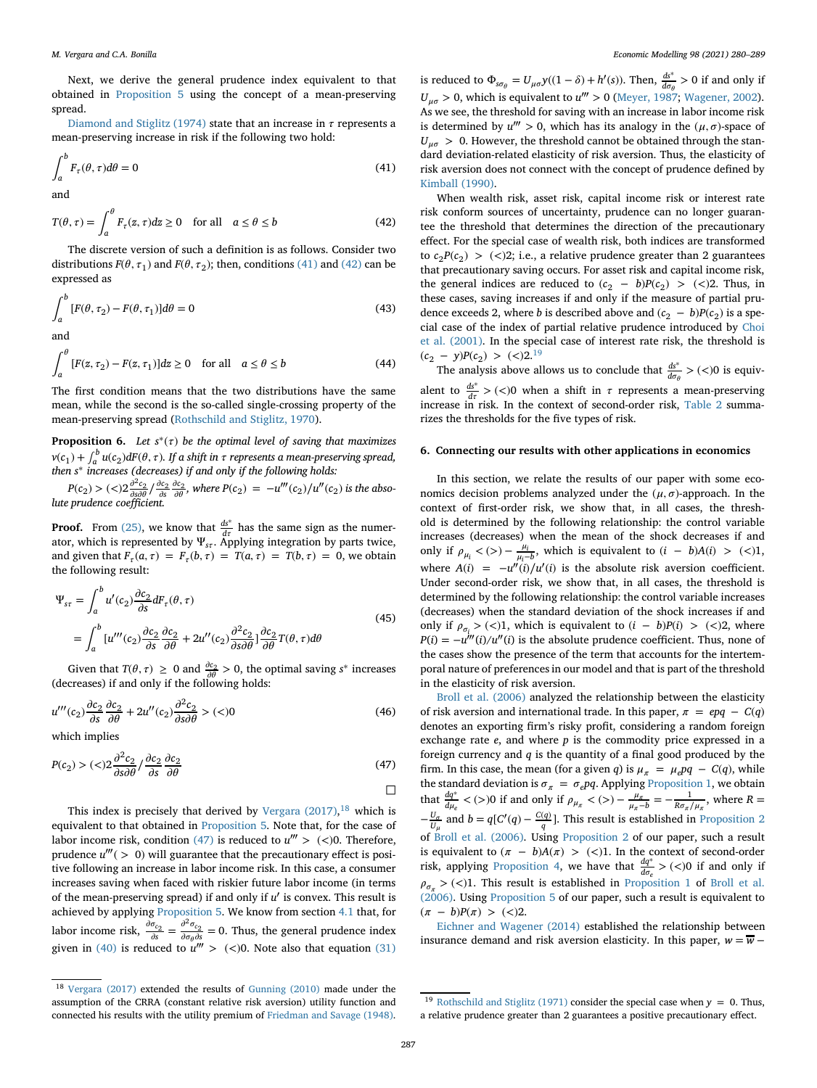Next, we derive the general prudence index equivalent to that obtained in [Proposition 5](#page-6-5) using the concept of a mean-preserving spread.

[Diamond and Stiglitz \(1974\)](#page-9-13) state that an increase in  $\tau$  represents a mean-preserving increase in risk if the following two hold:

$$
\int_{a}^{b} F_{\tau}(\theta, \tau) d\theta = 0
$$
\n(41)

and

*b*

<span id="page-7-2"></span>
$$
T(\theta, \tau) = \int_{a}^{\theta} F_{\tau}(z, \tau) dz \ge 0 \quad \text{for all} \quad a \le \theta \le b \tag{42}
$$

The discrete version of such a definition is as follows. Consider two distributions  $F(\theta, \tau_1)$  and  $F(\theta, \tau_2)$ ; then, conditions [\(41\)](#page-7-1) and [\(42\)](#page-7-2) can be expressed as

$$
\int_{a}^{b} [F(\theta, \tau_2) - F(\theta, \tau_1)] d\theta = 0
$$
\n(43)

and

$$
\int_{a}^{\theta} [F(z, \tau_2) - F(z, \tau_1)]dz \ge 0 \quad \text{for all} \quad a \le \theta \le b \tag{44}
$$

The first condition means that the two distributions have the same mean, while the second is the so-called single-crossing property of the mean-preserving spread [\(Rothschild and Stiglitz, 1970\)](#page-9-45).

**Proposition 6.** *Let*  $s^*(\tau)$  *be the optimal level of saving that maximizes*  $v(c_1) + \int_a^b u(c_2) dF(\theta, \tau)$ . If a shift in  $\tau$  represents a mean-preserving spread, *then s*<sup>∗</sup> *increases (decreases) if and only if the following holds:*

 $P(c_2) > ($  *z* $\frac{\partial^2 c_2}{\partial s \partial \theta} / \frac{\partial c_2}{\partial s} \frac{\partial c_2}{\partial \theta}$ , where  $P(c_2) = -u'''(c_2)/u''(c_2)$  is the abso*lute prudence coefficient.*

**Proof.** From [\(25\),](#page-5-10) we know that  $\frac{ds^*}{dt}$  has the same sign as the numerator, which is represented by  $\Psi_{s\tau}$ . Applying integration by parts twice, and given that  $F_{\tau}(a, \tau) = F_{\tau}(b, \tau) = T(a, \tau) = T(b, \tau) = 0$ , we obtain the following result:

$$
\Psi_{sr} = \int_{a}^{b} u'(c_2) \frac{\partial c_2}{\partial s} dF_{\tau}(\theta, \tau)
$$
\n
$$
= \int_{a}^{b} [u'''(c_2) \frac{\partial c_2}{\partial s} \frac{\partial c_2}{\partial \theta} + 2u''(c_2) \frac{\partial^2 c_2}{\partial s \partial \theta}] \frac{\partial c_2}{\partial \theta} T(\theta, \tau) d\theta
$$
\n(45)

Given that *T*( $\theta$ ,  $\tau$ )  $\geq$  0 and  $\frac{\partial c_2}{\partial \theta} > 0$ , the optimal saving *s*<sup>\*</sup> increases (decreases) if and only if the following holds:

$$
u'''(c_2)\frac{\partial c_2}{\partial s}\frac{\partial c_2}{\partial \theta} + 2u''(c_2)\frac{\partial^2 c_2}{\partial s \partial \theta} > (<0)
$$
\n(46)

which implies

*b*

<span id="page-7-4"></span>
$$
P(c_2) > \left(\langle <\right) 2 \frac{\partial^2 c_2}{\partial s \partial \theta} / \frac{\partial c_2}{\partial s} \frac{\partial c_2}{\partial \theta} \tag{47}
$$

This index is precisely that derived by [Vergara \(2017\),](#page-9-46)<sup>[18](#page-7-3)</sup> which is equivalent to that obtained in [Proposition 5.](#page-6-5) Note that, for the case of labor income risk, condition [\(47\)](#page-7-4) is reduced to  $u''' > (<)0$ . Therefore, prudence  $u'''(> 0)$  will guarantee that the precautionary effect is positive following an increase in labor income risk. In this case, a consumer increases saving when faced with riskier future labor income (in terms of the mean-preserving spread) if and only if *u*′ is convex. This result is achieved by applying [Proposition 5.](#page-6-5) We know from section [4.1](#page-4-9) that, for labor income risk,  $\frac{\partial \sigma_{c_2}}{\partial s} = \frac{\partial^2 \sigma_{c_2}}{\partial \sigma_{\theta} \partial s} = 0$ . Thus, the general prudence index given in [\(40\)](#page-6-6) is reduced to  $u'''$  > (<)0. Note also that equation [\(31\)](#page-5-7)

is reduced to  $\Phi_{s\sigma_{\theta}} = U_{\mu\sigma} y((1-\delta) + h'(s))$ . Then,  $\frac{ds^*}{d\sigma_{\theta}} > 0$  if and only if  $U_{\mu\sigma}$  > 0, which is equivalent to  $u'''$  > 0 [\(Meyer, 1987;](#page-9-10) [Wagener, 2002\)](#page-9-29). As we see, the threshold for saving with an increase in labor income risk is determined by  $u''' > 0$ , which has its analogy in the  $(\mu, \sigma)$ -space of  $U_{\mu\sigma} > 0$ . However, the threshold cannot be obtained through the standard deviation-related elasticity of risk aversion. Thus, the elasticity of risk aversion does not connect with the concept of prudence defined by [Kimball \(1990\).](#page-9-7)

<span id="page-7-1"></span>When wealth risk, asset risk, capital income risk or interest rate risk conform sources of uncertainty, prudence can no longer guarantee the threshold that determines the direction of the precautionary effect. For the special case of wealth risk, both indices are transformed to  $c_2P(c_2)$  > (<)2; i.e., a relative prudence greater than 2 guarantees that precautionary saving occurs. For asset risk and capital income risk, the general indices are reduced to  $(c_2 - b)P(c_2) > ($ 2). Thus, in these cases, saving increases if and only if the measure of partial prudence exceeds 2, where *b* is described above and  $(c_2 - b)P(c_2)$  is a special case of the index of partial relative prudence introduced by Choi [et al. \(2001\). In the special case of interest rate risk, the threshold is](#page-9-35)  $(c_2 - y)P(c_2) > ($ 

The analysis above allows us to conclude that  $\frac{ds^*}{d\sigma_\theta}$  > (<)0 is equiv-

alent to  $\frac{ds^*}{dt}$  > (<)0 when a shift in  $\tau$  represents a mean-preserving increase in risk. In the context of second-order risk, [Table 2](#page-8-4) summarizes the thresholds for the five types of risk.

#### <span id="page-7-0"></span>**6. Connecting our results with other applications in economics**

In this section, we relate the results of our paper with some economics decision problems analyzed under the  $(\mu, \sigma)$ -approach. In the context of first-order risk, we show that, in all cases, the threshold is determined by the following relationship: the control variable increases (decreases) when the mean of the shock decreases if and only if  $\rho_{\mu_i}$  < (>) –  $\frac{\mu_i}{\mu_i - b}$ , which is equivalent to (*i* – *b*)*A*(*i*) > (<)1, where  $A(i) = -u''(i)/u'(i)$  is the absolute risk aversion coefficient. Under second-order risk, we show that, in all cases, the threshold is determined by the following relationship: the control variable increases (decreases) when the standard deviation of the shock increases if and only if  $\rho_{\sigma_i}$  > (*<*)1, which is equivalent to (*i* − *b*)*P*(*i*) > (*<*)2, where  $P(i) = -u^{\prime\prime\prime}(i)/u^{\prime\prime}(i)$  is the absolute prudence coefficient. Thus, none of the cases show the presence of the term that accounts for the intertemporal nature of preferences in our model and that is part of the threshold in the elasticity of risk aversion.

[Broll et al. \(2006\)](#page-9-36) analyzed the relationship between the elasticity of risk aversion and international trade. In this paper,  $\pi = epq - C(q)$ denotes an exporting firm's risky profit, considering a random foreign exchange rate *e*, and where *p* is the commodity price expressed in a foreign currency and *q* is the quantity of a final good produced by the firm. In this case, the mean (for a given *q*) is  $\mu_{\pi} = \mu_{e}pq - C(q)$ , while the standard deviation is  $\sigma_{\pi} = \sigma_{e}pq$ . Applying [Proposition 1,](#page-3-12) we obtain that  $\frac{dq^*}{d\mu_e} < (>)0$  if and only if  $\rho_{\mu_{\pi}} < (>) - \frac{\mu_{\pi}}{\mu_{\pi} - b} = -\frac{1}{R\sigma_{\pi}/\mu_{\pi}}$ , where  $R =$  $-\frac{U_{\sigma}}{U_{\mu}}$  and  $b = q[C'(q) - \frac{C(q)}{q}]$ . This result is established in [Proposition 2](#page-4-3) of [Broll et al. \(2006\).](#page-9-36) Using [Proposition 2](#page-4-3) of our paper, such a result is equivalent to  $(\pi - b)A(\pi) >$  (<)1. In the context of second-order risk, applying [Proposition 4,](#page-5-9) we have that  $\frac{dq^*}{d\sigma_e}$  > (<)0 if and only if  $\rho_{\sigma_{\pi}}$  > (<)1. This result is established in [Proposition 1](#page-3-12) of Broll et al. (2006). Using [Proposition 5](#page-6-5) [of our paper, such a result is equivalent to](#page-9-36)  $(\pi - b)P(\pi) > (<)2.$ 

[Eichner and Wagener \(2014\)](#page-9-21) established the relationship between insurance demand and risk aversion elasticity. In this paper,  $w = \overline{w}$  −

<span id="page-7-3"></span><sup>18</sup> [Vergara \(2017\)](#page-9-46) extended the results of [Gunning \(2010\)](#page-9-14) made under the assumption of the CRRA (constant relative risk aversion) utility function and connected his results with the utility premium of [Friedman and Savage \(1948\).](#page-9-47)

<span id="page-7-5"></span><sup>&</sup>lt;sup>19</sup> [Rothschild and Stiglitz \(1971\)](#page-9-11) consider the special case when  $y = 0$ . Thus, a relative prudence greater than 2 guarantees a positive precautionary effect.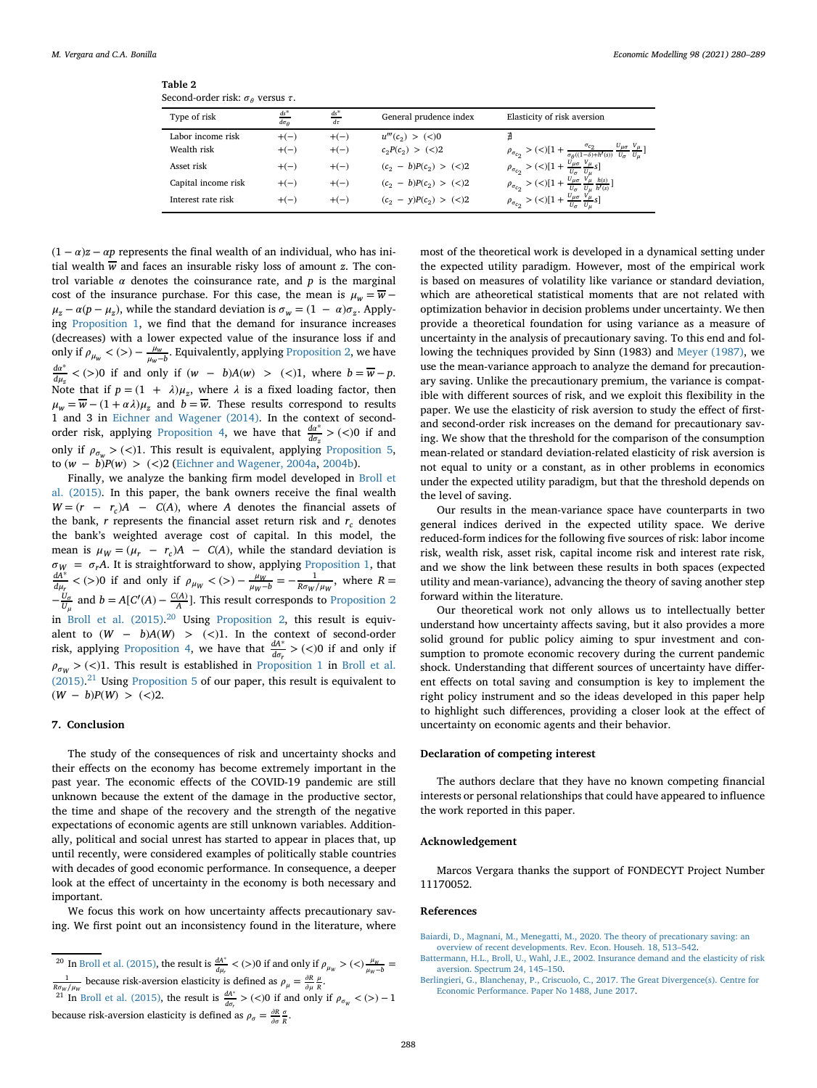| Table 2                                       |  |
|-----------------------------------------------|--|
| Second-order risk: $\sigma_a$ versus $\tau$ . |  |

<span id="page-8-4"></span>

| $\alpha$ occorred of each transfer $\alpha$ is the control $\alpha$ . |                              |                      |                             |                                                                                                                                                                                                                                                                                                                                     |
|-----------------------------------------------------------------------|------------------------------|----------------------|-----------------------------|-------------------------------------------------------------------------------------------------------------------------------------------------------------------------------------------------------------------------------------------------------------------------------------------------------------------------------------|
| Type of risk                                                          | $ds^*$<br>$d\sigma_{\theta}$ | $\frac{ds^*}{d\tau}$ | General prudence index      | Elasticity of risk aversion                                                                                                                                                                                                                                                                                                         |
| Labor income risk                                                     | $+(-)$                       | $+(-)$               | $u'''(c_2) > (<)0$          | Ł                                                                                                                                                                                                                                                                                                                                   |
| Wealth risk                                                           | $+(-)$                       | $+(-)$               | $c_2P(c_2) > (2)$           | $\rho_{\sigma_{c_2}}>(<)[1+\frac{\sigma_{c_2}}{\sigma_\theta((1-\delta)+h'(s))}\frac{U_{\mu\sigma}}{U_\sigma}\frac{V_\mu}{U_u}]$                                                                                                                                                                                                    |
| Asset risk                                                            | $+(-)$                       | $+(-)$               | $(c_2 - b)P(c_2) > (\leq)2$ | $\rho_{\sigma_{c_2}} > (<)[1 + \frac{\frac{v_{\mu\sigma}}{v_{\mu}} \frac{v_{\mu}}{v_{\mu}} s]$                                                                                                                                                                                                                                      |
| Capital income risk                                                   | $+(-)$                       | $+(-)$               | $(c_2 - b)P(c_2) > (\leq)2$ |                                                                                                                                                                                                                                                                                                                                     |
| Interest rate risk                                                    | $+(-)$                       | $+(-)$               | $(c_2 - y)P(c_2) > (\leq)2$ | $\rho_{\sigma_{c_2}} > (<) 1+\frac{\frac{\ddot{v_{\mu\sigma}}}{v_{\sigma}}\frac{\dot{v_{\mu}}}{v_{\mu}}\frac{h(s)}{h'(s)}}{\frac{\dot{v_{\mu}}}{v_{\sigma}}\frac{\dot{v_{\mu}}}{v_{\mu}}}\frac{h(s)}{s}]$<br>$\rho_{\sigma_{c_2}} > (<) 1+\frac{\ddot{v_{\mu\sigma}}}{\dot{v_{\sigma}}}\frac{\dot{v_{\mu}}}{\dot{v_{\mu}}}\dot{s}]$ |

 $(1 - \alpha)z - \alpha p$  represents the final wealth of an individual, who has initial wealth  $\overline{w}$  and faces an insurable risky loss of amount *z*. The control variable  $\alpha$  denotes the coinsurance rate, and  $p$  is the marginal cost of the insurance purchase. For this case, the mean is  $\mu_w = \overline{w}$  –  $\mu_z - \alpha (p - \mu_z)$ , while the standard deviation is  $\sigma_w = (1 - \alpha) \sigma_z$ . Applying [Proposition 1,](#page-3-12) we find that the demand for insurance increases (decreases) with a lower expected value of the insurance loss if and only if  $\rho_{\mu_w}$  < (>) −  $\frac{\mu_w}{\mu_w - b}$ . Equivalently, applying [Proposition 2,](#page-4-3) we have *d*∗  $\frac{d^2u}{du_x}$  < (*>*)0 if and only if (*w* − *b*)*A*(*w*) *>* (*<*)1, where *b* =  $\overline{w}$  − *p*. Note that if  $p = (1 + \lambda)\mu_z$ , where  $\lambda$  is a fixed loading factor, then  $\mu_w = \overline{w} - (1 + \alpha \lambda) \mu_z$  and  $b = \overline{w}$ . These results correspond to results 1 and 3 in [Eichner and Wagener \(2014\).](#page-9-21) In the context of second-order risk, applying [Proposition 4,](#page-5-9) we have that  $\frac{da^*}{d\sigma_z}$  > (<)0 if and only if  $\rho_{\sigma_w}$  > (<)1. This result is equivalent, applying [Proposition 5,](#page-6-5) to (*w* − *b*)*P*(*w*) *>* (*<*)2 [\(Eichner and Wagener, 2004a,](#page-9-19) [2004b\)](#page-9-20).

Finally, we analyze the banking firm model developed in Broll et [al. \(2015\). In this paper, the bank owners receive the final wealth](#page-9-22)  $W = (r - r_c)A - C(A)$ , where *A* denotes the financial assets of the bank,  $r$  represents the financial asset return risk and  $r_c$  denotes the bank's weighted average cost of capital. In this model, the mean is  $\mu_W = (\mu_r - r_c)A - C(A)$ , while the standard deviation is  $\sigma_W = \sigma_r A$ . It is straightforward to show, applying [Proposition 1,](#page-3-12) that *dA*<sup>∗</sup>  $\geq$  (N) if and only if  $a \leq$  (N)  $e^{-\mu_W} = e^{-1}$  where  $P =$  $\frac{dA^*}{d\mu_r}$  < (>)0 if and only if  $\rho_{\mu_W}$  < (>) –  $\frac{\mu_W}{\mu_W - b}$  =  $-\frac{1}{R\sigma_W/\mu_W}$ , where *R* =  $-\frac{U_{\sigma}}{U_{\mu}}$  and  $b = A[C'(A) - \frac{C(A)}{A}]$ . This result corresponds to [Proposition 2](#page-4-3) in [Broll et al. \(2015\).](#page-9-22)<sup>[20](#page-8-5)</sup> Using [Proposition 2,](#page-4-3) this result is equivalent to  $(W - b)A(W) > (<)1$ . In the context of second-order risk, applying [Proposition 4,](#page-5-9) we have that  $\frac{dA^*}{d\sigma_r} > (<)0$  if and only if  $\rho_{\sigma w}$  > (<)1. This result is established in [Proposition 1](#page-3-12) in Broll et al.  $(2015).<sup>21</sup>$  $(2015).<sup>21</sup>$  $(2015).<sup>21</sup>$  Using [Proposition 5](#page-6-5) [of our paper, this result is equivalent to](#page-9-22) (*W* − *b*)*P*(*W*) *>* (*<*)2.

#### <span id="page-8-3"></span>**7. Conclusion**

The study of the consequences of risk and uncertainty shocks and their effects on the economy has become extremely important in the past year. The economic effects of the COVID-19 pandemic are still unknown because the extent of the damage in the productive sector, the time and shape of the recovery and the strength of the negative expectations of economic agents are still unknown variables. Additionally, political and social unrest has started to appear in places that, up until recently, were considered examples of politically stable countries with decades of good economic performance. In consequence, a deeper look at the effect of uncertainty in the economy is both necessary and important.

We focus this work on how uncertainty affects precautionary saving. We first point out an inconsistency found in the literature, where

<span id="page-8-5"></span><sup>20</sup> In [Broll et al. \(2015\),](#page-9-22) the result is  $\frac{dA^*}{d\mu_r} < (>)0$  if and only if  $\rho_{\mu_W} > (>)\frac{\mu_W}{\mu_W - b} = \frac{1}{B\sigma_W/\mu_W}$  because risk-aversion elasticity is defined as  $\rho_{\mu} = \frac{\partial R}{\partial \mu} \frac{\mu}{R}$ .

<span id="page-8-6"></span> $\frac{dA^*}{dr}$  [Broll et al. \(2015\),](#page-9-22) the result is  $\frac{dA^*}{dr}$  > (<)0 if and only if  $\rho_{\sigma_W}$  < (>) – 1 because risk-aversion elasticity is defined as  $\rho_{\sigma} = \frac{\partial R}{\partial \sigma} \frac{\sigma}{R}$ .

most of the theoretical work is developed in a dynamical setting under the expected utility paradigm. However, most of the empirical work is based on measures of volatility like variance or standard deviation, which are atheoretical statistical moments that are not related with optimization behavior in decision problems under uncertainty. We then provide a theoretical foundation for using variance as a measure of uncertainty in the analysis of precautionary saving. To this end and following the techniques provided by Sinn (1983) and [Meyer \(1987\),](#page-9-10) we use the mean-variance approach to analyze the demand for precautionary saving. Unlike the precautionary premium, the variance is compatible with different sources of risk, and we exploit this flexibility in the paper. We use the elasticity of risk aversion to study the effect of firstand second-order risk increases on the demand for precautionary saving. We show that the threshold for the comparison of the consumption mean-related or standard deviation-related elasticity of risk aversion is not equal to unity or a constant, as in other problems in economics under the expected utility paradigm, but that the threshold depends on the level of saving.

Our results in the mean-variance space have counterparts in two general indices derived in the expected utility space. We derive reduced-form indices for the following five sources of risk: labor income risk, wealth risk, asset risk, capital income risk and interest rate risk, and we show the link between these results in both spaces (expected utility and mean-variance), advancing the theory of saving another step forward within the literature.

Our theoretical work not only allows us to intellectually better understand how uncertainty affects saving, but it also provides a more solid ground for public policy aiming to spur investment and consumption to promote economic recovery during the current pandemic shock. Understanding that different sources of uncertainty have different effects on total saving and consumption is key to implement the right policy instrument and so the ideas developed in this paper help to highlight such differences, providing a closer look at the effect of uncertainty on economic agents and their behavior.

### **Declaration of competing interest**

The authors declare that they have no known competing financial interests or personal relationships that could have appeared to influence the work reported in this paper.

### **Acknowledgement**

Marcos Vergara thanks the support of FONDECYT Project Number 11170052.

#### **References**

- <span id="page-8-1"></span>Baiardi, D., Magnani, M., Menegatti, M., 2020. The theory of precationary saving: an [overview of recent developments. Rev. Econ. Househ. 18, 513–542.](http://refhub.elsevier.com/S0264-9993(20)31253-0/sref1)
- [Battermann, H.L., Broll, U., Wahl, J.E., 2002. Insurance demand and the elasticity of risk](http://refhub.elsevier.com/S0264-9993(20)31253-0/sref2) aversion. Spectrum 24, 145–150.
- <span id="page-8-2"></span><span id="page-8-0"></span>[Berlingieri, G., Blanchenay, P., Criscuolo, C., 2017. The Great Divergence\(s\). Centre for](http://refhub.elsevier.com/S0264-9993(20)31253-0/sref3) Economic Performance. Paper No 1488, June 2017.